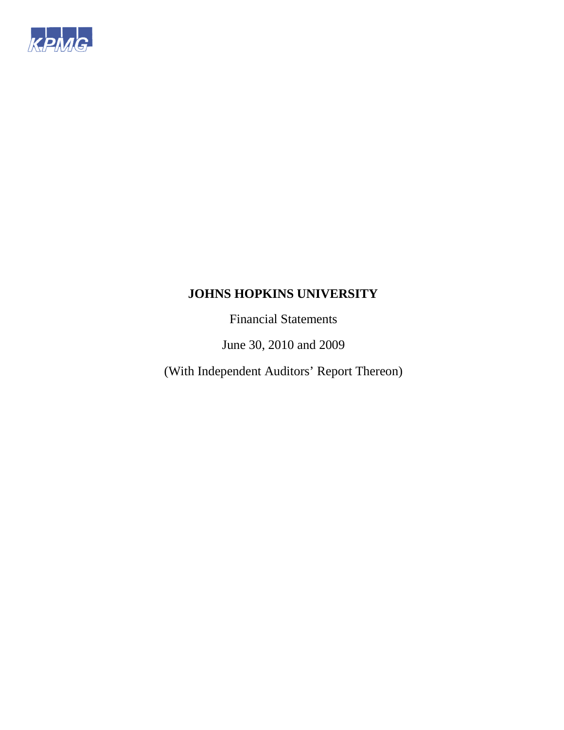

Financial Statements

June 30, 2010 and 2009

(With Independent Auditors' Report Thereon)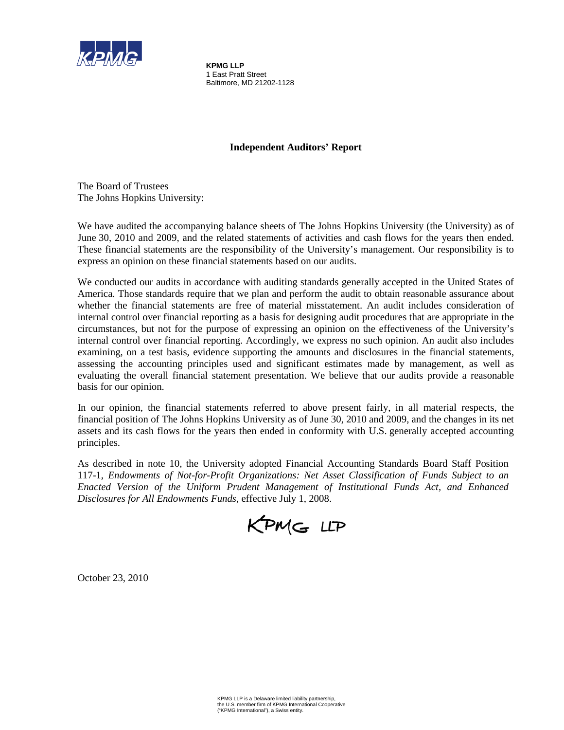

**KPMG LLP** 1 East Pratt Street Baltimore, MD 21202-1128

### **Independent Auditors' Report**

The Board of Trustees The Johns Hopkins University:

We have audited the accompanying balance sheets of The Johns Hopkins University (the University) as of June 30, 2010 and 2009, and the related statements of activities and cash flows for the years then ended. These financial statements are the responsibility of the University's management. Our responsibility is to express an opinion on these financial statements based on our audits.

We conducted our audits in accordance with auditing standards generally accepted in the United States of America. Those standards require that we plan and perform the audit to obtain reasonable assurance about whether the financial statements are free of material misstatement. An audit includes consideration of internal control over financial reporting as a basis for designing audit procedures that are appropriate in the circumstances, but not for the purpose of expressing an opinion on the effectiveness of the University's internal control over financial reporting. Accordingly, we express no such opinion. An audit also includes examining, on a test basis, evidence supporting the amounts and disclosures in the financial statements, assessing the accounting principles used and significant estimates made by management, as well as evaluating the overall financial statement presentation. We believe that our audits provide a reasonable basis for our opinion.

In our opinion, the financial statements referred to above present fairly, in all material respects, the financial position of The Johns Hopkins University as of June 30, 2010 and 2009, and the changes in its net assets and its cash flows for the years then ended in conformity with U.S. generally accepted accounting principles.

As described in note 10, the University adopted Financial Accounting Standards Board Staff Position 117-1, *Endowments of Not-for-Profit Organizations: Net Asset Classification of Funds Subject to an Enacted Version of the Uniform Prudent Management of Institutional Funds Act, and Enhanced Disclosures for All Endowments Funds*, effective July 1, 2008.

KPMG LLP

October 23, 2010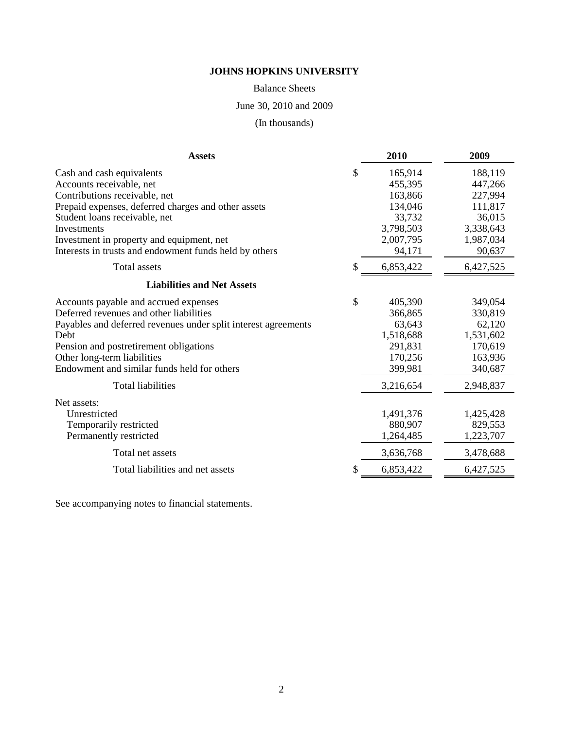Balance Sheets

June 30, 2010 and 2009

(In thousands)

| <b>Assets</b>                                                  | 2010      | 2009      |
|----------------------------------------------------------------|-----------|-----------|
| \$<br>Cash and cash equivalents                                | 165,914   | 188,119   |
| Accounts receivable, net                                       | 455,395   | 447,266   |
| Contributions receivable, net                                  | 163,866   | 227,994   |
| Prepaid expenses, deferred charges and other assets            | 134,046   | 111,817   |
| Student loans receivable, net                                  | 33,732    | 36,015    |
| Investments                                                    | 3,798,503 | 3,338,643 |
| Investment in property and equipment, net                      | 2,007,795 | 1,987,034 |
| Interests in trusts and endowment funds held by others         | 94,171    | 90,637    |
| <b>Total</b> assets<br>S                                       | 6,853,422 | 6,427,525 |
| <b>Liabilities and Net Assets</b>                              |           |           |
| \$<br>Accounts payable and accrued expenses                    | 405,390   | 349,054   |
| Deferred revenues and other liabilities                        | 366,865   | 330,819   |
| Payables and deferred revenues under split interest agreements | 63,643    | 62,120    |
| Debt                                                           | 1,518,688 | 1,531,602 |
| Pension and postretirement obligations                         | 291,831   | 170,619   |
| Other long-term liabilities                                    | 170,256   | 163,936   |
| Endowment and similar funds held for others                    | 399,981   | 340,687   |
| <b>Total liabilities</b>                                       | 3,216,654 | 2,948,837 |
| Net assets:                                                    |           |           |
| Unrestricted                                                   | 1,491,376 | 1,425,428 |
| Temporarily restricted                                         | 880,907   | 829,553   |
| Permanently restricted                                         | 1,264,485 | 1,223,707 |
| Total net assets                                               | 3,636,768 | 3,478,688 |
| Total liabilities and net assets<br>S                          | 6,853,422 | 6,427,525 |

See accompanying notes to financial statements.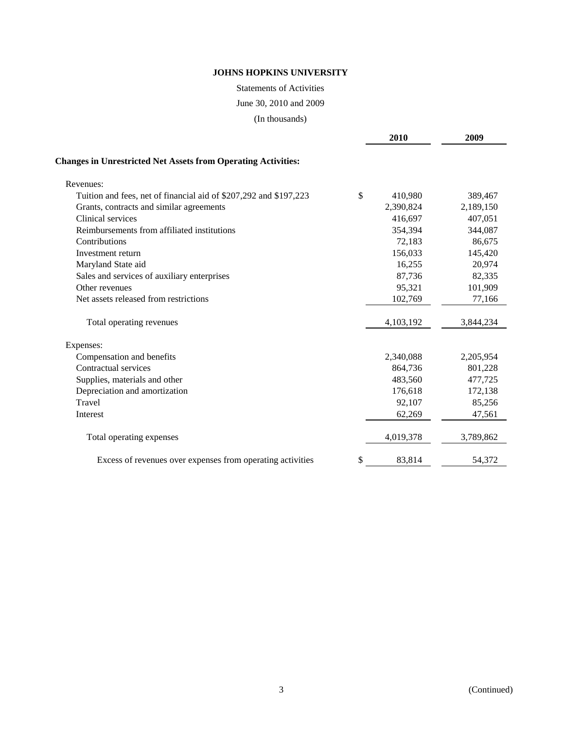Statements of Activities

June 30, 2010 and 2009

(In thousands)

|                                                                      | 2010          | 2009      |
|----------------------------------------------------------------------|---------------|-----------|
| <b>Changes in Unrestricted Net Assets from Operating Activities:</b> |               |           |
| Revenues:                                                            |               |           |
| Tuition and fees, net of financial aid of \$207,292 and \$197,223    | \$<br>410,980 | 389,467   |
| Grants, contracts and similar agreements                             | 2,390,824     | 2,189,150 |
| Clinical services                                                    | 416,697       | 407,051   |
| Reimbursements from affiliated institutions                          | 354,394       | 344,087   |
| Contributions                                                        | 72,183        | 86,675    |
| Investment return                                                    | 156,033       | 145,420   |
| Maryland State aid                                                   | 16,255        | 20,974    |
| Sales and services of auxiliary enterprises                          | 87,736        | 82,335    |
| Other revenues                                                       | 95,321        | 101,909   |
| Net assets released from restrictions                                | 102,769       | 77,166    |
| Total operating revenues                                             | 4,103,192     | 3,844,234 |
| Expenses:                                                            |               |           |
| Compensation and benefits                                            | 2,340,088     | 2,205,954 |
| Contractual services                                                 | 864,736       | 801,228   |
| Supplies, materials and other                                        | 483,560       | 477,725   |
| Depreciation and amortization                                        | 176,618       | 172,138   |
| Travel                                                               | 92,107        | 85,256    |
| Interest                                                             | 62,269        | 47,561    |
| Total operating expenses                                             | 4,019,378     | 3,789,862 |
| Excess of revenues over expenses from operating activities           | \$<br>83,814  | 54,372    |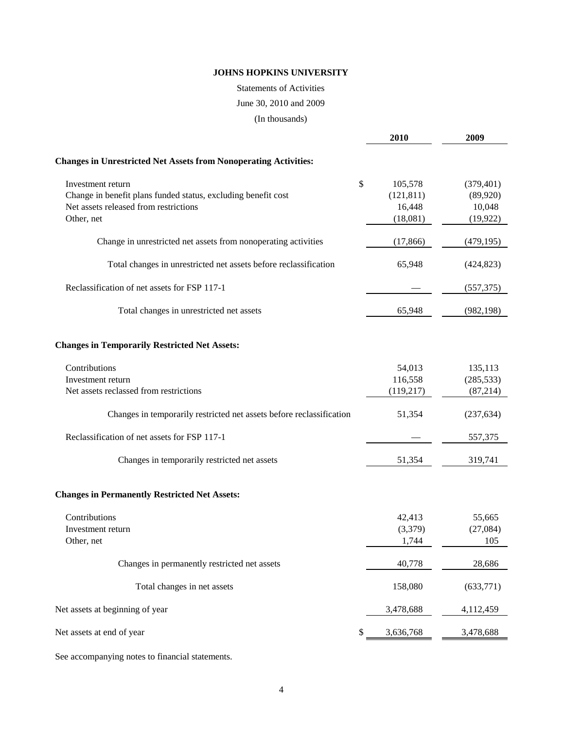### Statements of Activities

### June 30, 2010 and 2009

(In thousands)

|                                                                                                                                           | <b>2010</b>                                       | 2009                                          |
|-------------------------------------------------------------------------------------------------------------------------------------------|---------------------------------------------------|-----------------------------------------------|
| <b>Changes in Unrestricted Net Assets from Nonoperating Activities:</b>                                                                   |                                                   |                                               |
| Investment return<br>Change in benefit plans funded status, excluding benefit cost<br>Net assets released from restrictions<br>Other, net | \$<br>105,578<br>(121, 811)<br>16,448<br>(18,081) | (379, 401)<br>(89,920)<br>10,048<br>(19, 922) |
| Change in unrestricted net assets from nonoperating activities                                                                            | (17, 866)                                         | (479, 195)                                    |
| Total changes in unrestricted net assets before reclassification                                                                          | 65,948                                            | (424, 823)                                    |
| Reclassification of net assets for FSP 117-1                                                                                              |                                                   | (557, 375)                                    |
| Total changes in unrestricted net assets                                                                                                  | 65,948                                            | (982, 198)                                    |
| <b>Changes in Temporarily Restricted Net Assets:</b>                                                                                      |                                                   |                                               |
| Contributions<br>Investment return<br>Net assets reclassed from restrictions                                                              | 54,013<br>116,558<br>(119,217)                    | 135,113<br>(285, 533)<br>(87, 214)            |
| Changes in temporarily restricted net assets before reclassification                                                                      | 51,354                                            | (237, 634)                                    |
| Reclassification of net assets for FSP 117-1                                                                                              |                                                   | 557,375                                       |
| Changes in temporarily restricted net assets                                                                                              | 51,354                                            | 319,741                                       |
| <b>Changes in Permanently Restricted Net Assets:</b>                                                                                      |                                                   |                                               |
| Contributions<br>Investment return<br>Other, net                                                                                          | 42,413<br>(3,379)<br>1,744                        | 55,665<br>(27,084)<br>105                     |
| Changes in permanently restricted net assets                                                                                              | 40,778                                            | 28,686                                        |
| Total changes in net assets                                                                                                               | 158,080                                           | (633,771)                                     |
| Net assets at beginning of year                                                                                                           | 3,478,688                                         | 4,112,459                                     |
| Net assets at end of year                                                                                                                 | \$<br>3,636,768                                   | 3,478,688                                     |
|                                                                                                                                           |                                                   |                                               |

See accompanying notes to financial statements.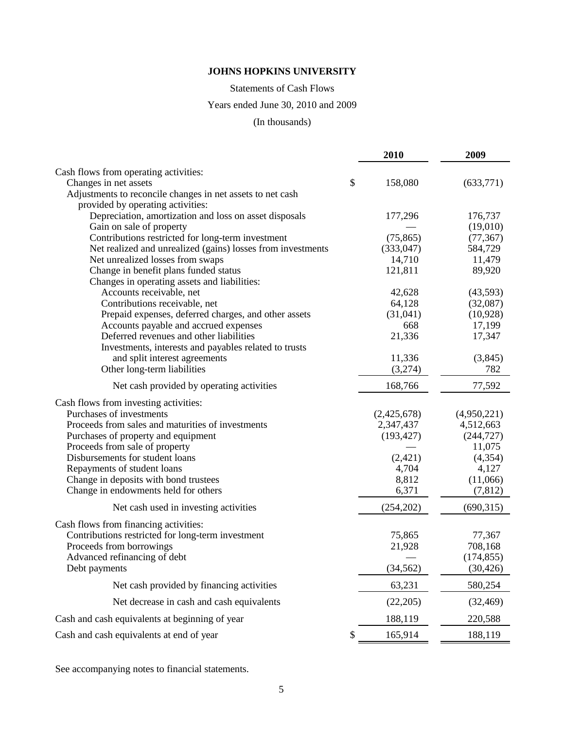Statements of Cash Flows

## Years ended June 30, 2010 and 2009

## (In thousands)

|                                                             | 2010          | 2009        |
|-------------------------------------------------------------|---------------|-------------|
| Cash flows from operating activities:                       |               |             |
| Changes in net assets                                       | \$<br>158,080 | (633,771)   |
| Adjustments to reconcile changes in net assets to net cash  |               |             |
| provided by operating activities:                           |               |             |
| Depreciation, amortization and loss on asset disposals      | 177,296       | 176,737     |
| Gain on sale of property                                    |               | (19,010)    |
| Contributions restricted for long-term investment           | (75, 865)     | (77, 367)   |
| Net realized and unrealized (gains) losses from investments | (333, 047)    | 584,729     |
| Net unrealized losses from swaps                            | 14,710        | 11,479      |
| Change in benefit plans funded status                       | 121,811       | 89,920      |
| Changes in operating assets and liabilities:                |               |             |
| Accounts receivable, net                                    | 42,628        | (43,593)    |
| Contributions receivable, net                               | 64,128        | (32,087)    |
| Prepaid expenses, deferred charges, and other assets        | (31,041)      | (10,928)    |
| Accounts payable and accrued expenses                       | 668           | 17,199      |
| Deferred revenues and other liabilities                     | 21,336        | 17,347      |
| Investments, interests and payables related to trusts       |               |             |
| and split interest agreements                               | 11,336        | (3,845)     |
| Other long-term liabilities                                 | (3,274)       | 782         |
| Net cash provided by operating activities                   | 168,766       | 77,592      |
| Cash flows from investing activities:                       |               |             |
| Purchases of investments                                    | (2,425,678)   | (4,950,221) |
| Proceeds from sales and maturities of investments           | 2,347,437     | 4,512,663   |
| Purchases of property and equipment                         | (193, 427)    | (244, 727)  |
| Proceeds from sale of property                              |               | 11,075      |
| Disbursements for student loans                             | (2, 421)      | (4,354)     |
| Repayments of student loans                                 | 4,704         | 4,127       |
| Change in deposits with bond trustees                       | 8,812         | (11,066)    |
| Change in endowments held for others                        | 6,371         | (7, 812)    |
| Net cash used in investing activities                       | (254, 202)    | (690, 315)  |
| Cash flows from financing activities:                       |               |             |
| Contributions restricted for long-term investment           | 75,865        | 77,367      |
| Proceeds from borrowings                                    | 21,928        | 708,168     |
| Advanced refinancing of debt                                |               | (174, 855)  |
| Debt payments                                               | (34, 562)     | (30, 426)   |
| Net cash provided by financing activities                   | 63,231        | 580,254     |
| Net decrease in cash and cash equivalents                   | (22, 205)     | (32, 469)   |
| Cash and cash equivalents at beginning of year              | 188,119       | 220,588     |
| Cash and cash equivalents at end of year                    | \$<br>165,914 | 188,119     |

See accompanying notes to financial statements.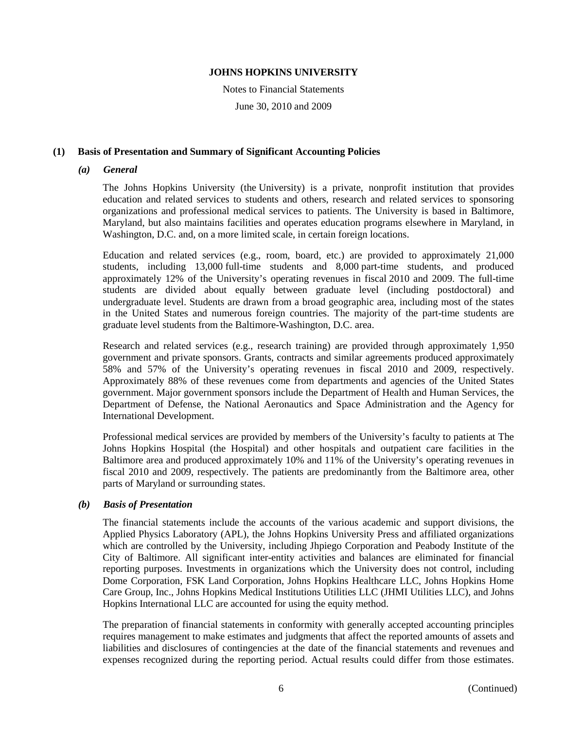Notes to Financial Statements

June 30, 2010 and 2009

### **(1) Basis of Presentation and Summary of Significant Accounting Policies**

### *(a) General*

The Johns Hopkins University (the University) is a private, nonprofit institution that provides education and related services to students and others, research and related services to sponsoring organizations and professional medical services to patients. The University is based in Baltimore, Maryland, but also maintains facilities and operates education programs elsewhere in Maryland, in Washington, D.C. and, on a more limited scale, in certain foreign locations.

Education and related services (e.g., room, board, etc.) are provided to approximately 21,000 students, including 13,000 full-time students and 8,000 part-time students, and produced approximately 12% of the University's operating revenues in fiscal 2010 and 2009. The full-time students are divided about equally between graduate level (including postdoctoral) and undergraduate level. Students are drawn from a broad geographic area, including most of the states in the United States and numerous foreign countries. The majority of the part-time students are graduate level students from the Baltimore-Washington, D.C. area.

Research and related services (e.g., research training) are provided through approximately 1,950 government and private sponsors. Grants, contracts and similar agreements produced approximately 58% and 57% of the University's operating revenues in fiscal 2010 and 2009, respectively. Approximately 88% of these revenues come from departments and agencies of the United States government. Major government sponsors include the Department of Health and Human Services, the Department of Defense, the National Aeronautics and Space Administration and the Agency for International Development.

Professional medical services are provided by members of the University's faculty to patients at The Johns Hopkins Hospital (the Hospital) and other hospitals and outpatient care facilities in the Baltimore area and produced approximately 10% and 11% of the University's operating revenues in fiscal 2010 and 2009, respectively. The patients are predominantly from the Baltimore area, other parts of Maryland or surrounding states.

### *(b) Basis of Presentation*

The financial statements include the accounts of the various academic and support divisions, the Applied Physics Laboratory (APL), the Johns Hopkins University Press and affiliated organizations which are controlled by the University, including Jhpiego Corporation and Peabody Institute of the City of Baltimore. All significant inter-entity activities and balances are eliminated for financial reporting purposes. Investments in organizations which the University does not control, including Dome Corporation, FSK Land Corporation, Johns Hopkins Healthcare LLC, Johns Hopkins Home Care Group, Inc., Johns Hopkins Medical Institutions Utilities LLC (JHMI Utilities LLC), and Johns Hopkins International LLC are accounted for using the equity method.

The preparation of financial statements in conformity with generally accepted accounting principles requires management to make estimates and judgments that affect the reported amounts of assets and liabilities and disclosures of contingencies at the date of the financial statements and revenues and expenses recognized during the reporting period. Actual results could differ from those estimates.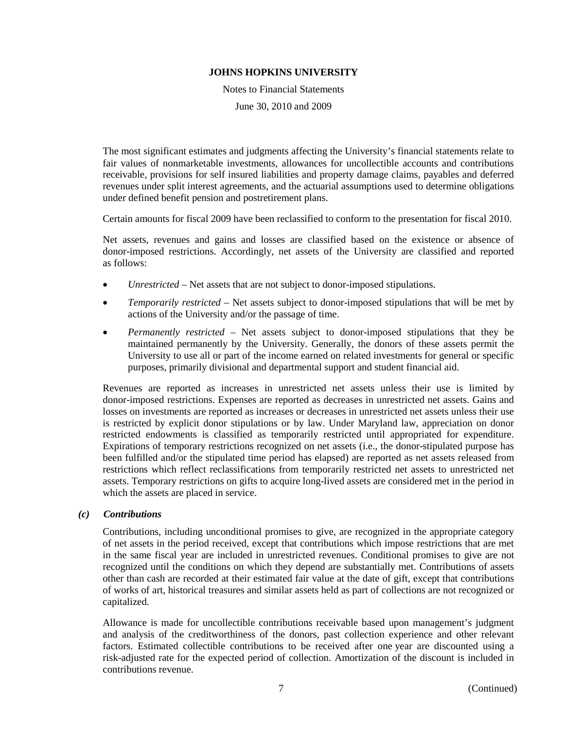Notes to Financial Statements June 30, 2010 and 2009

The most significant estimates and judgments affecting the University's financial statements relate to fair values of nonmarketable investments, allowances for uncollectible accounts and contributions receivable, provisions for self insured liabilities and property damage claims, payables and deferred revenues under split interest agreements, and the actuarial assumptions used to determine obligations under defined benefit pension and postretirement plans.

Certain amounts for fiscal 2009 have been reclassified to conform to the presentation for fiscal 2010.

Net assets, revenues and gains and losses are classified based on the existence or absence of donor-imposed restrictions. Accordingly, net assets of the University are classified and reported as follows:

- *Unrestricted*  Net assets that are not subject to donor-imposed stipulations.
- *Temporarily restricted*  Net assets subject to donor-imposed stipulations that will be met by actions of the University and/or the passage of time.
- *Permanently restricted*  Net assets subject to donor-imposed stipulations that they be maintained permanently by the University. Generally, the donors of these assets permit the University to use all or part of the income earned on related investments for general or specific purposes, primarily divisional and departmental support and student financial aid.

Revenues are reported as increases in unrestricted net assets unless their use is limited by donor-imposed restrictions. Expenses are reported as decreases in unrestricted net assets. Gains and losses on investments are reported as increases or decreases in unrestricted net assets unless their use is restricted by explicit donor stipulations or by law. Under Maryland law, appreciation on donor restricted endowments is classified as temporarily restricted until appropriated for expenditure. Expirations of temporary restrictions recognized on net assets (i.e., the donor-stipulated purpose has been fulfilled and/or the stipulated time period has elapsed) are reported as net assets released from restrictions which reflect reclassifications from temporarily restricted net assets to unrestricted net assets. Temporary restrictions on gifts to acquire long-lived assets are considered met in the period in which the assets are placed in service.

### *(c) Contributions*

Contributions, including unconditional promises to give, are recognized in the appropriate category of net assets in the period received, except that contributions which impose restrictions that are met in the same fiscal year are included in unrestricted revenues. Conditional promises to give are not recognized until the conditions on which they depend are substantially met. Contributions of assets other than cash are recorded at their estimated fair value at the date of gift, except that contributions of works of art, historical treasures and similar assets held as part of collections are not recognized or capitalized.

Allowance is made for uncollectible contributions receivable based upon management's judgment and analysis of the creditworthiness of the donors, past collection experience and other relevant factors. Estimated collectible contributions to be received after one year are discounted using a risk-adjusted rate for the expected period of collection. Amortization of the discount is included in contributions revenue.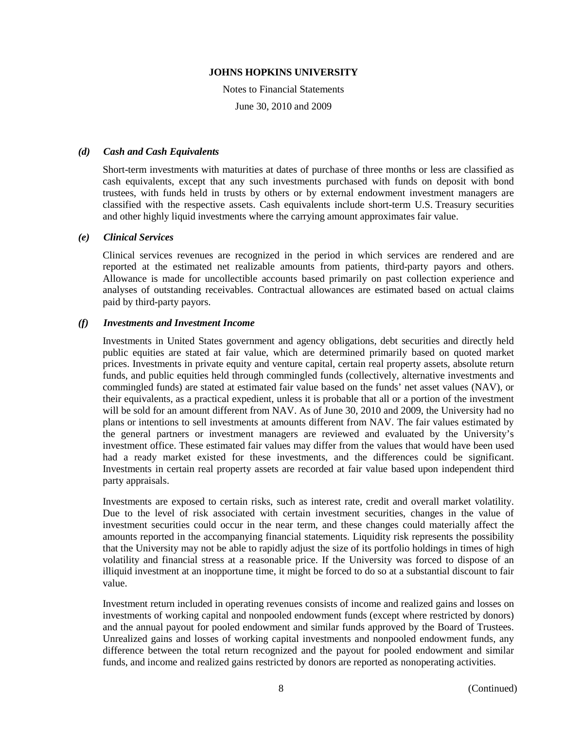Notes to Financial Statements

June 30, 2010 and 2009

### *(d) Cash and Cash Equivalents*

Short-term investments with maturities at dates of purchase of three months or less are classified as cash equivalents, except that any such investments purchased with funds on deposit with bond trustees, with funds held in trusts by others or by external endowment investment managers are classified with the respective assets. Cash equivalents include short-term U.S. Treasury securities and other highly liquid investments where the carrying amount approximates fair value.

### *(e) Clinical Services*

Clinical services revenues are recognized in the period in which services are rendered and are reported at the estimated net realizable amounts from patients, third-party payors and others. Allowance is made for uncollectible accounts based primarily on past collection experience and analyses of outstanding receivables. Contractual allowances are estimated based on actual claims paid by third-party payors.

### *(f) Investments and Investment Income*

Investments in United States government and agency obligations, debt securities and directly held public equities are stated at fair value, which are determined primarily based on quoted market prices. Investments in private equity and venture capital, certain real property assets, absolute return funds, and public equities held through commingled funds (collectively, alternative investments and commingled funds) are stated at estimated fair value based on the funds' net asset values (NAV), or their equivalents, as a practical expedient, unless it is probable that all or a portion of the investment will be sold for an amount different from NAV. As of June 30, 2010 and 2009, the University had no plans or intentions to sell investments at amounts different from NAV. The fair values estimated by the general partners or investment managers are reviewed and evaluated by the University's investment office. These estimated fair values may differ from the values that would have been used had a ready market existed for these investments, and the differences could be significant. Investments in certain real property assets are recorded at fair value based upon independent third party appraisals.

Investments are exposed to certain risks, such as interest rate, credit and overall market volatility. Due to the level of risk associated with certain investment securities, changes in the value of investment securities could occur in the near term, and these changes could materially affect the amounts reported in the accompanying financial statements. Liquidity risk represents the possibility that the University may not be able to rapidly adjust the size of its portfolio holdings in times of high volatility and financial stress at a reasonable price. If the University was forced to dispose of an illiquid investment at an inopportune time, it might be forced to do so at a substantial discount to fair value.

Investment return included in operating revenues consists of income and realized gains and losses on investments of working capital and nonpooled endowment funds (except where restricted by donors) and the annual payout for pooled endowment and similar funds approved by the Board of Trustees. Unrealized gains and losses of working capital investments and nonpooled endowment funds, any difference between the total return recognized and the payout for pooled endowment and similar funds, and income and realized gains restricted by donors are reported as nonoperating activities.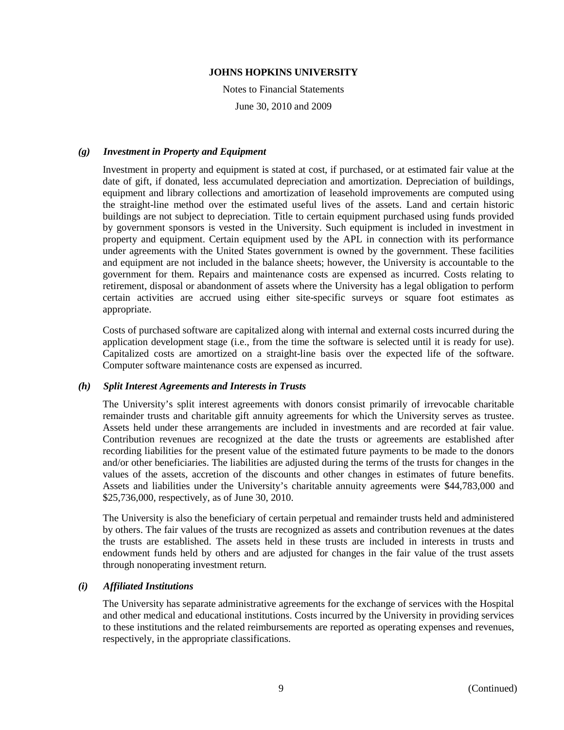Notes to Financial Statements June 30, 2010 and 2009

#### *(g) Investment in Property and Equipment*

Investment in property and equipment is stated at cost, if purchased, or at estimated fair value at the date of gift, if donated, less accumulated depreciation and amortization. Depreciation of buildings, equipment and library collections and amortization of leasehold improvements are computed using the straight-line method over the estimated useful lives of the assets. Land and certain historic buildings are not subject to depreciation. Title to certain equipment purchased using funds provided by government sponsors is vested in the University. Such equipment is included in investment in property and equipment. Certain equipment used by the APL in connection with its performance under agreements with the United States government is owned by the government. These facilities and equipment are not included in the balance sheets; however, the University is accountable to the government for them. Repairs and maintenance costs are expensed as incurred. Costs relating to retirement, disposal or abandonment of assets where the University has a legal obligation to perform certain activities are accrued using either site-specific surveys or square foot estimates as appropriate.

Costs of purchased software are capitalized along with internal and external costs incurred during the application development stage (i.e., from the time the software is selected until it is ready for use). Capitalized costs are amortized on a straight-line basis over the expected life of the software. Computer software maintenance costs are expensed as incurred.

#### *(h) Split Interest Agreements and Interests in Trusts*

The University's split interest agreements with donors consist primarily of irrevocable charitable remainder trusts and charitable gift annuity agreements for which the University serves as trustee. Assets held under these arrangements are included in investments and are recorded at fair value. Contribution revenues are recognized at the date the trusts or agreements are established after recording liabilities for the present value of the estimated future payments to be made to the donors and/or other beneficiaries. The liabilities are adjusted during the terms of the trusts for changes in the values of the assets, accretion of the discounts and other changes in estimates of future benefits. Assets and liabilities under the University's charitable annuity agreements were \$44,783,000 and \$25,736,000, respectively, as of June 30, 2010.

The University is also the beneficiary of certain perpetual and remainder trusts held and administered by others. The fair values of the trusts are recognized as assets and contribution revenues at the dates the trusts are established. The assets held in these trusts are included in interests in trusts and endowment funds held by others and are adjusted for changes in the fair value of the trust assets through nonoperating investment return.

### *(i) Affiliated Institutions*

The University has separate administrative agreements for the exchange of services with the Hospital and other medical and educational institutions. Costs incurred by the University in providing services to these institutions and the related reimbursements are reported as operating expenses and revenues, respectively, in the appropriate classifications.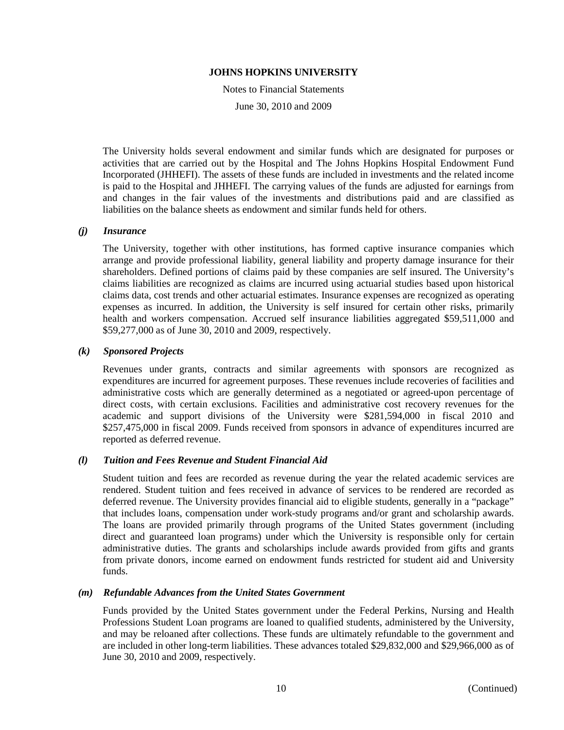Notes to Financial Statements

June 30, 2010 and 2009

The University holds several endowment and similar funds which are designated for purposes or activities that are carried out by the Hospital and The Johns Hopkins Hospital Endowment Fund Incorporated (JHHEFI). The assets of these funds are included in investments and the related income is paid to the Hospital and JHHEFI. The carrying values of the funds are adjusted for earnings from and changes in the fair values of the investments and distributions paid and are classified as liabilities on the balance sheets as endowment and similar funds held for others.

### *(j) Insurance*

The University, together with other institutions, has formed captive insurance companies which arrange and provide professional liability, general liability and property damage insurance for their shareholders. Defined portions of claims paid by these companies are self insured. The University's claims liabilities are recognized as claims are incurred using actuarial studies based upon historical claims data, cost trends and other actuarial estimates. Insurance expenses are recognized as operating expenses as incurred. In addition, the University is self insured for certain other risks, primarily health and workers compensation. Accrued self insurance liabilities aggregated \$59,511,000 and \$59,277,000 as of June 30, 2010 and 2009, respectively.

### *(k) Sponsored Projects*

Revenues under grants, contracts and similar agreements with sponsors are recognized as expenditures are incurred for agreement purposes. These revenues include recoveries of facilities and administrative costs which are generally determined as a negotiated or agreed-upon percentage of direct costs, with certain exclusions. Facilities and administrative cost recovery revenues for the academic and support divisions of the University were \$281,594,000 in fiscal 2010 and \$257,475,000 in fiscal 2009. Funds received from sponsors in advance of expenditures incurred are reported as deferred revenue.

### *(l) Tuition and Fees Revenue and Student Financial Aid*

Student tuition and fees are recorded as revenue during the year the related academic services are rendered. Student tuition and fees received in advance of services to be rendered are recorded as deferred revenue. The University provides financial aid to eligible students, generally in a "package" that includes loans, compensation under work-study programs and/or grant and scholarship awards. The loans are provided primarily through programs of the United States government (including direct and guaranteed loan programs) under which the University is responsible only for certain administrative duties. The grants and scholarships include awards provided from gifts and grants from private donors, income earned on endowment funds restricted for student aid and University funds.

### *(m) Refundable Advances from the United States Government*

Funds provided by the United States government under the Federal Perkins, Nursing and Health Professions Student Loan programs are loaned to qualified students, administered by the University, and may be reloaned after collections. These funds are ultimately refundable to the government and are included in other long-term liabilities. These advances totaled \$29,832,000 and \$29,966,000 as of June 30, 2010 and 2009, respectively.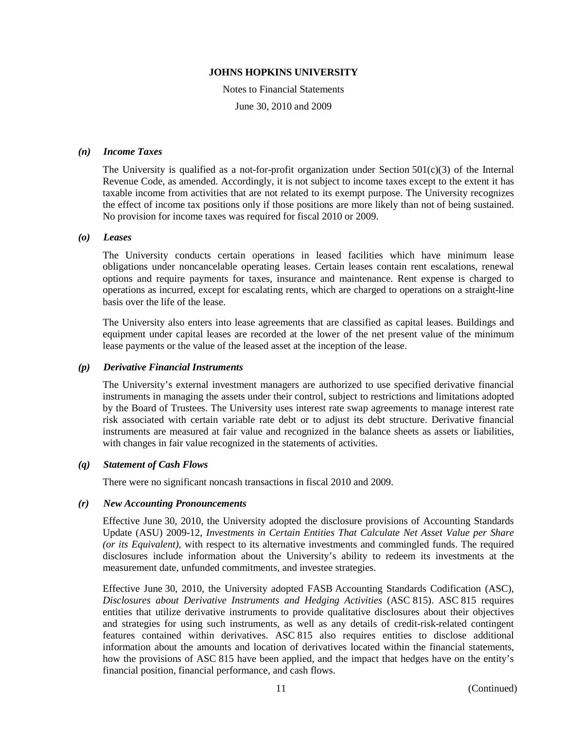Notes to Financial Statements June 30, 2010 and 2009

### *(n) Income Taxes*

The University is qualified as a not-for-profit organization under Section  $501(c)(3)$  of the Internal Revenue Code, as amended. Accordingly, it is not subject to income taxes except to the extent it has taxable income from activities that are not related to its exempt purpose. The University recognizes the effect of income tax positions only if those positions are more likely than not of being sustained. No provision for income taxes was required for fiscal 2010 or 2009.

#### *(o) Leases*

The University conducts certain operations in leased facilities which have minimum lease obligations under noncancelable operating leases. Certain leases contain rent escalations, renewal options and require payments for taxes, insurance and maintenance. Rent expense is charged to operations as incurred, except for escalating rents, which are charged to operations on a straight-line basis over the life of the lease.

The University also enters into lease agreements that are classified as capital leases. Buildings and equipment under capital leases are recorded at the lower of the net present value of the minimum lease payments or the value of the leased asset at the inception of the lease.

#### *(p) Derivative Financial Instruments*

The University's external investment managers are authorized to use specified derivative financial instruments in managing the assets under their control, subject to restrictions and limitations adopted by the Board of Trustees. The University uses interest rate swap agreements to manage interest rate risk associated with certain variable rate debt or to adjust its debt structure. Derivative financial instruments are measured at fair value and recognized in the balance sheets as assets or liabilities, with changes in fair value recognized in the statements of activities.

### *(q) Statement of Cash Flows*

There were no significant noncash transactions in fiscal 2010 and 2009.

#### *(r) New Accounting Pronouncements*

Effective June 30, 2010, the University adopted the disclosure provisions of Accounting Standards Update (ASU) 2009-12, *Investments in Certain Entities That Calculate Net Asset Value per Share (or its Equivalent)*, with respect to its alternative investments and commingled funds. The required disclosures include information about the University's ability to redeem its investments at the measurement date, unfunded commitments, and investee strategies.

Effective June 30, 2010, the University adopted FASB Accounting Standards Codification (ASC), *Disclosures about Derivative Instruments and Hedging Activities* (ASC 815). ASC 815 requires entities that utilize derivative instruments to provide qualitative disclosures about their objectives and strategies for using such instruments, as well as any details of credit-risk-related contingent features contained within derivatives. ASC 815 also requires entities to disclose additional information about the amounts and location of derivatives located within the financial statements, how the provisions of ASC 815 have been applied, and the impact that hedges have on the entity's financial position, financial performance, and cash flows.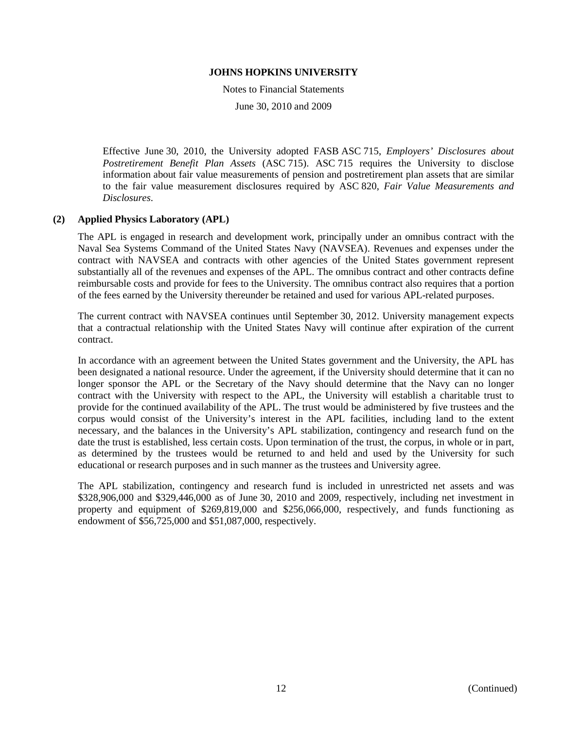Notes to Financial Statements

June 30, 2010 and 2009

Effective June 30, 2010, the University adopted FASB ASC 715, *Employers' Disclosures about Postretirement Benefit Plan Assets* (ASC 715). ASC 715 requires the University to disclose information about fair value measurements of pension and postretirement plan assets that are similar to the fair value measurement disclosures required by ASC 820, *Fair Value Measurements and Disclosures*.

### **(2) Applied Physics Laboratory (APL)**

The APL is engaged in research and development work, principally under an omnibus contract with the Naval Sea Systems Command of the United States Navy (NAVSEA). Revenues and expenses under the contract with NAVSEA and contracts with other agencies of the United States government represent substantially all of the revenues and expenses of the APL. The omnibus contract and other contracts define reimbursable costs and provide for fees to the University. The omnibus contract also requires that a portion of the fees earned by the University thereunder be retained and used for various APL-related purposes.

The current contract with NAVSEA continues until September 30, 2012. University management expects that a contractual relationship with the United States Navy will continue after expiration of the current contract.

In accordance with an agreement between the United States government and the University, the APL has been designated a national resource. Under the agreement, if the University should determine that it can no longer sponsor the APL or the Secretary of the Navy should determine that the Navy can no longer contract with the University with respect to the APL, the University will establish a charitable trust to provide for the continued availability of the APL. The trust would be administered by five trustees and the corpus would consist of the University's interest in the APL facilities, including land to the extent necessary, and the balances in the University's APL stabilization, contingency and research fund on the date the trust is established, less certain costs. Upon termination of the trust, the corpus, in whole or in part, as determined by the trustees would be returned to and held and used by the University for such educational or research purposes and in such manner as the trustees and University agree.

The APL stabilization, contingency and research fund is included in unrestricted net assets and was \$328,906,000 and \$329,446,000 as of June 30, 2010 and 2009, respectively, including net investment in property and equipment of \$269,819,000 and \$256,066,000, respectively, and funds functioning as endowment of \$56,725,000 and \$51,087,000, respectively.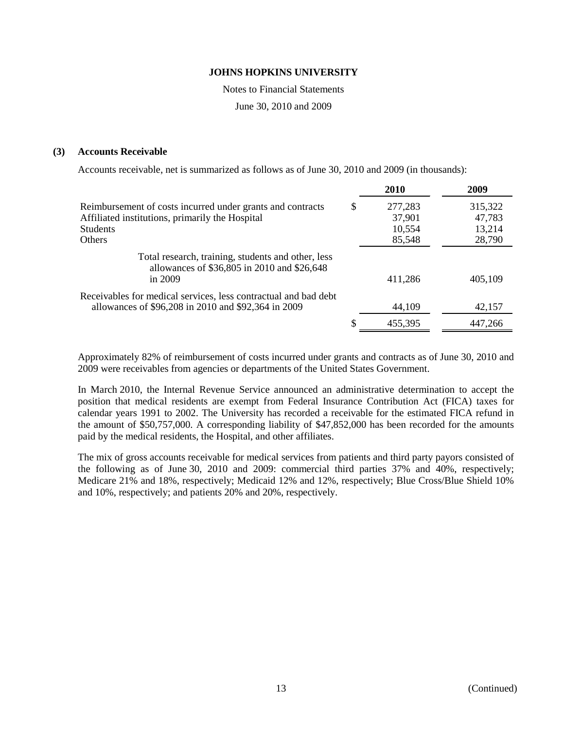Notes to Financial Statements

June 30, 2010 and 2009

### **(3) Accounts Receivable**

Accounts receivable, net is summarized as follows as of June 30, 2010 and 2009 (in thousands):

|                                                                                                                        | 2010          | 2009    |
|------------------------------------------------------------------------------------------------------------------------|---------------|---------|
| Reimbursement of costs incurred under grants and contracts                                                             | \$<br>277,283 | 315,322 |
| Affiliated institutions, primarily the Hospital                                                                        | 37,901        | 47,783  |
| <b>Students</b>                                                                                                        | 10,554        | 13,214  |
| <b>Others</b>                                                                                                          | 85,548        | 28,790  |
| Total research, training, students and other, less<br>allowances of \$36,805 in 2010 and \$26,648<br>in $2009$         | 411,286       | 405,109 |
| Receivables for medical services, less contractual and bad debt<br>allowances of \$96,208 in 2010 and \$92,364 in 2009 | 44,109        | 42,157  |
|                                                                                                                        | 455,395       | 447,266 |

Approximately 82% of reimbursement of costs incurred under grants and contracts as of June 30, 2010 and 2009 were receivables from agencies or departments of the United States Government.

In March 2010, the Internal Revenue Service announced an administrative determination to accept the position that medical residents are exempt from Federal Insurance Contribution Act (FICA) taxes for calendar years 1991 to 2002. The University has recorded a receivable for the estimated FICA refund in the amount of \$50,757,000. A corresponding liability of \$47,852,000 has been recorded for the amounts paid by the medical residents, the Hospital, and other affiliates.

The mix of gross accounts receivable for medical services from patients and third party payors consisted of the following as of June 30, 2010 and 2009: commercial third parties 37% and 40%, respectively; Medicare 21% and 18%, respectively; Medicaid 12% and 12%, respectively; Blue Cross/Blue Shield 10% and 10%, respectively; and patients 20% and 20%, respectively.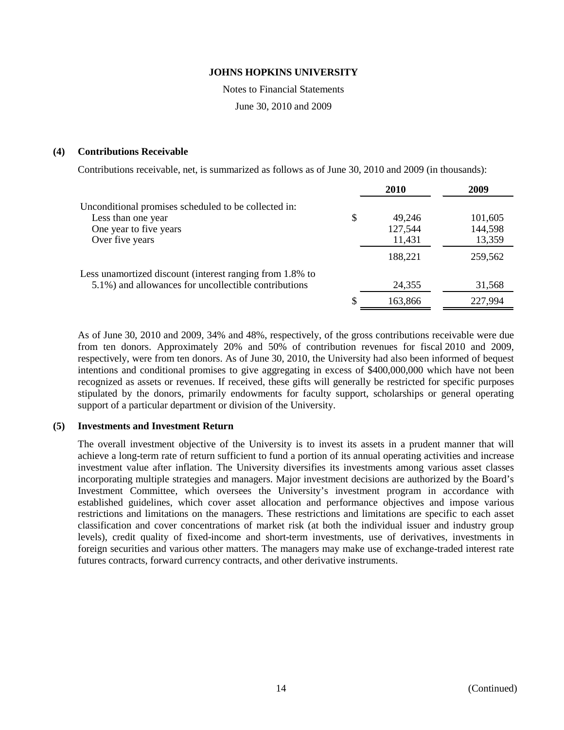Notes to Financial Statements

June 30, 2010 and 2009

### **(4) Contributions Receivable**

Contributions receivable, net, is summarized as follows as of June 30, 2010 and 2009 (in thousands):

|                                                          | <b>2010</b>  | 2009    |
|----------------------------------------------------------|--------------|---------|
| Unconditional promises scheduled to be collected in:     |              |         |
| Less than one year                                       | \$<br>49,246 | 101,605 |
| One year to five years                                   | 127,544      | 144,598 |
| Over five years                                          | 11,431       | 13,359  |
|                                                          | 188,221      | 259,562 |
| Less unamortized discount (interest ranging from 1.8% to |              |         |
| 5.1%) and allowances for uncollectible contributions     | 24,355       | 31,568  |
|                                                          | 163,866      | 227,994 |

As of June 30, 2010 and 2009, 34% and 48%, respectively, of the gross contributions receivable were due from ten donors. Approximately 20% and 50% of contribution revenues for fiscal 2010 and 2009, respectively, were from ten donors. As of June 30, 2010, the University had also been informed of bequest intentions and conditional promises to give aggregating in excess of \$400,000,000 which have not been recognized as assets or revenues. If received, these gifts will generally be restricted for specific purposes stipulated by the donors, primarily endowments for faculty support, scholarships or general operating support of a particular department or division of the University.

### **(5) Investments and Investment Return**

The overall investment objective of the University is to invest its assets in a prudent manner that will achieve a long-term rate of return sufficient to fund a portion of its annual operating activities and increase investment value after inflation. The University diversifies its investments among various asset classes incorporating multiple strategies and managers. Major investment decisions are authorized by the Board's Investment Committee, which oversees the University's investment program in accordance with established guidelines, which cover asset allocation and performance objectives and impose various restrictions and limitations on the managers. These restrictions and limitations are specific to each asset classification and cover concentrations of market risk (at both the individual issuer and industry group levels), credit quality of fixed-income and short-term investments, use of derivatives, investments in foreign securities and various other matters. The managers may make use of exchange-traded interest rate futures contracts, forward currency contracts, and other derivative instruments.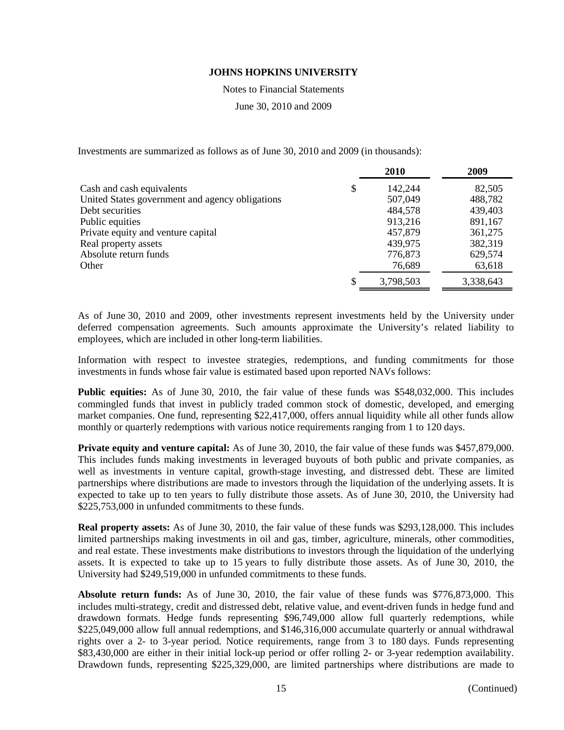Notes to Financial Statements

June 30, 2010 and 2009

Investments are summarized as follows as of June 30, 2010 and 2009 (in thousands):

|                                                 | 2010          | 2009      |
|-------------------------------------------------|---------------|-----------|
| Cash and cash equivalents                       | \$<br>142,244 | 82,505    |
| United States government and agency obligations | 507,049       | 488,782   |
| Debt securities                                 | 484,578       | 439,403   |
| Public equities                                 | 913,216       | 891,167   |
| Private equity and venture capital              | 457,879       | 361,275   |
| Real property assets                            | 439,975       | 382,319   |
| Absolute return funds                           | 776,873       | 629,574   |
| Other                                           | 76,689        | 63,618    |
|                                                 | 3,798,503     | 3,338,643 |

As of June 30, 2010 and 2009, other investments represent investments held by the University under deferred compensation agreements. Such amounts approximate the University's related liability to employees, which are included in other long-term liabilities.

Information with respect to investee strategies, redemptions, and funding commitments for those investments in funds whose fair value is estimated based upon reported NAVs follows:

**Public equities:** As of June 30, 2010, the fair value of these funds was \$548,032,000. This includes commingled funds that invest in publicly traded common stock of domestic, developed, and emerging market companies. One fund, representing \$22,417,000, offers annual liquidity while all other funds allow monthly or quarterly redemptions with various notice requirements ranging from 1 to 120 days.

**Private equity and venture capital:** As of June 30, 2010, the fair value of these funds was \$457,879,000. This includes funds making investments in leveraged buyouts of both public and private companies, as well as investments in venture capital, growth-stage investing, and distressed debt. These are limited partnerships where distributions are made to investors through the liquidation of the underlying assets. It is expected to take up to ten years to fully distribute those assets. As of June 30, 2010, the University had \$225,753,000 in unfunded commitments to these funds.

**Real property assets:** As of June 30, 2010, the fair value of these funds was \$293,128,000. This includes limited partnerships making investments in oil and gas, timber, agriculture, minerals, other commodities, and real estate. These investments make distributions to investors through the liquidation of the underlying assets. It is expected to take up to 15 years to fully distribute those assets. As of June 30, 2010, the University had \$249,519,000 in unfunded commitments to these funds.

**Absolute return funds:** As of June 30, 2010, the fair value of these funds was \$776,873,000. This includes multi-strategy, credit and distressed debt, relative value, and event-driven funds in hedge fund and drawdown formats. Hedge funds representing \$96,749,000 allow full quarterly redemptions, while \$225,049,000 allow full annual redemptions, and \$146,316,000 accumulate quarterly or annual withdrawal rights over a 2- to 3-year period. Notice requirements, range from 3 to 180 days. Funds representing \$83,430,000 are either in their initial lock-up period or offer rolling 2- or 3-year redemption availability. Drawdown funds, representing \$225,329,000, are limited partnerships where distributions are made to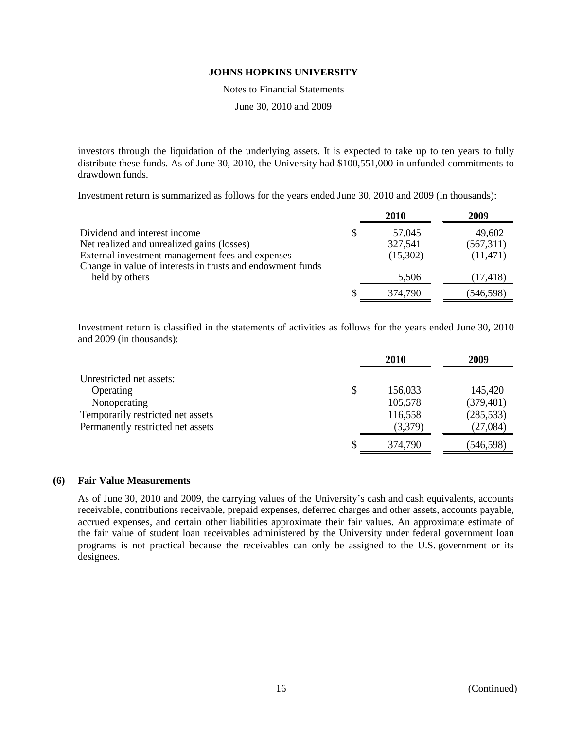Notes to Financial Statements

June 30, 2010 and 2009

investors through the liquidation of the underlying assets. It is expected to take up to ten years to fully distribute these funds. As of June 30, 2010, the University had \$100,551,000 in unfunded commitments to drawdown funds.

Investment return is summarized as follows for the years ended June 30, 2010 and 2009 (in thousands):

|                                                            | <b>2010</b>  | 2009      |
|------------------------------------------------------------|--------------|-----------|
| Dividend and interest income                               | \$<br>57,045 | 49,602    |
| Net realized and unrealized gains (losses)                 | 327,541      | (567,311) |
| External investment management fees and expenses           | (15,302)     | (11, 471) |
| Change in value of interests in trusts and endowment funds |              |           |
| held by others                                             | 5,506        | (17, 418) |
|                                                            | 374,790      | (546,598) |

Investment return is classified in the statements of activities as follows for the years ended June 30, 2010 and 2009 (in thousands):

|                                   | 2010          | 2009       |
|-----------------------------------|---------------|------------|
| Unrestricted net assets:          |               |            |
| Operating                         | \$<br>156,033 | 145,420    |
| Nonoperating                      | 105,578       | (379, 401) |
| Temporarily restricted net assets | 116,558       | (285, 533) |
| Permanently restricted net assets | (3,379)       | (27,084)   |
|                                   | 374,790       | (546, 598) |

### **(6) Fair Value Measurements**

As of June 30, 2010 and 2009, the carrying values of the University's cash and cash equivalents, accounts receivable, contributions receivable, prepaid expenses, deferred charges and other assets, accounts payable, accrued expenses, and certain other liabilities approximate their fair values. An approximate estimate of the fair value of student loan receivables administered by the University under federal government loan programs is not practical because the receivables can only be assigned to the U.S. government or its designees.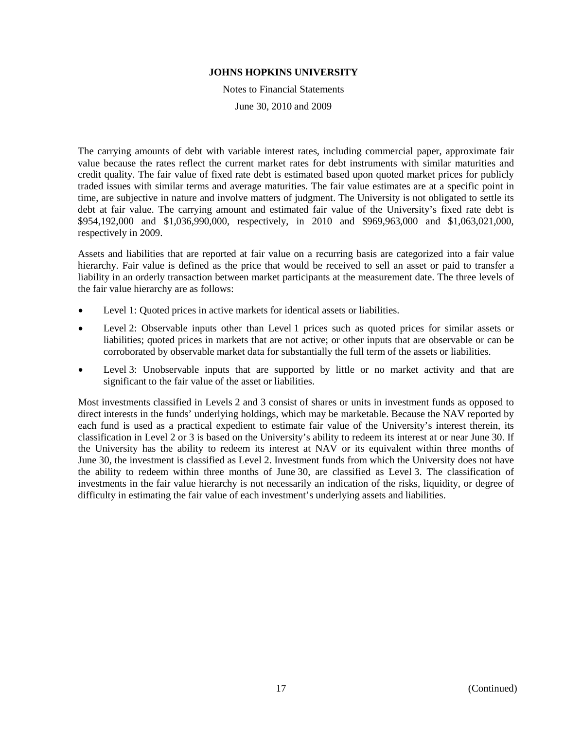Notes to Financial Statements

June 30, 2010 and 2009

The carrying amounts of debt with variable interest rates, including commercial paper, approximate fair value because the rates reflect the current market rates for debt instruments with similar maturities and credit quality. The fair value of fixed rate debt is estimated based upon quoted market prices for publicly traded issues with similar terms and average maturities. The fair value estimates are at a specific point in time, are subjective in nature and involve matters of judgment. The University is not obligated to settle its debt at fair value. The carrying amount and estimated fair value of the University's fixed rate debt is \$954,192,000 and \$1,036,990,000, respectively, in 2010 and \$969,963,000 and \$1,063,021,000, respectively in 2009.

Assets and liabilities that are reported at fair value on a recurring basis are categorized into a fair value hierarchy. Fair value is defined as the price that would be received to sell an asset or paid to transfer a liability in an orderly transaction between market participants at the measurement date. The three levels of the fair value hierarchy are as follows:

- Level 1: Quoted prices in active markets for identical assets or liabilities.
- Level 2: Observable inputs other than Level 1 prices such as quoted prices for similar assets or liabilities; quoted prices in markets that are not active; or other inputs that are observable or can be corroborated by observable market data for substantially the full term of the assets or liabilities.
- Level 3: Unobservable inputs that are supported by little or no market activity and that are significant to the fair value of the asset or liabilities.

Most investments classified in Levels 2 and 3 consist of shares or units in investment funds as opposed to direct interests in the funds' underlying holdings, which may be marketable. Because the NAV reported by each fund is used as a practical expedient to estimate fair value of the University's interest therein, its classification in Level 2 or 3 is based on the University's ability to redeem its interest at or near June 30. If the University has the ability to redeem its interest at NAV or its equivalent within three months of June 30, the investment is classified as Level 2. Investment funds from which the University does not have the ability to redeem within three months of June 30, are classified as Level 3. The classification of investments in the fair value hierarchy is not necessarily an indication of the risks, liquidity, or degree of difficulty in estimating the fair value of each investment's underlying assets and liabilities.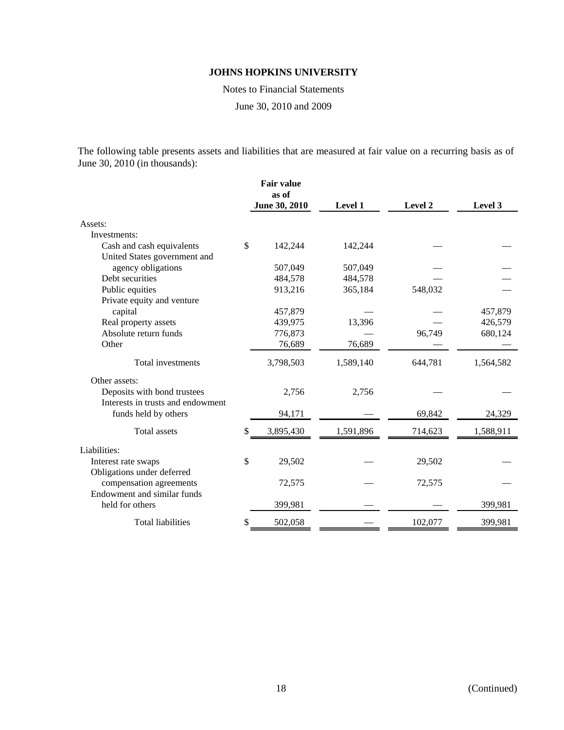Notes to Financial Statements

June 30, 2010 and 2009

The following table presents assets and liabilities that are measured at fair value on a recurring basis as of June 30, 2010 (in thousands):

| <b>Fair value</b><br>as of |           |               |         |           |
|----------------------------|-----------|---------------|---------|-----------|
|                            |           | Level 1       | Level 2 | Level 3   |
|                            |           |               |         |           |
|                            |           |               |         |           |
| \$                         | 142,244   | 142,244       |         |           |
|                            |           |               |         |           |
|                            | 507,049   | 507,049       |         |           |
|                            | 484,578   | 484,578       |         |           |
|                            | 913,216   | 365,184       | 548,032 |           |
|                            |           |               |         |           |
|                            | 457,879   |               |         | 457,879   |
|                            | 439,975   | 13,396        |         | 426,579   |
|                            | 776,873   |               | 96,749  | 680,124   |
|                            | 76,689    | 76,689        |         |           |
|                            | 3,798,503 | 1,589,140     | 644,781 | 1,564,582 |
|                            |           |               |         |           |
|                            | 2,756     | 2,756         |         |           |
|                            |           |               |         |           |
|                            | 94,171    |               | 69,842  | 24,329    |
| \$                         | 3,895,430 | 1,591,896     | 714,623 | 1,588,911 |
|                            |           |               |         |           |
| \$                         | 29,502    |               | 29,502  |           |
|                            |           |               |         |           |
|                            | 72,575    |               | 72,575  |           |
|                            |           |               |         |           |
|                            | 399,981   |               |         | 399,981   |
| \$                         | 502,058   |               | 102,077 | 399,981   |
|                            |           | June 30, 2010 |         |           |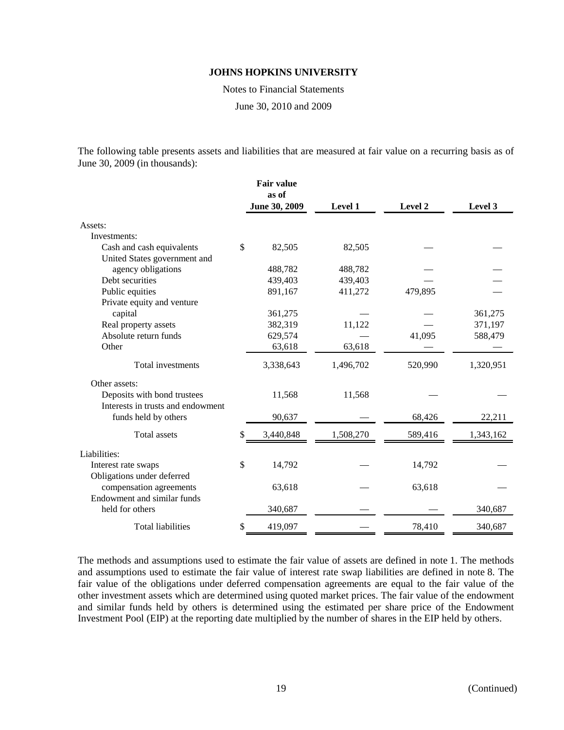Notes to Financial Statements

June 30, 2010 and 2009

The following table presents assets and liabilities that are measured at fair value on a recurring basis as of June 30, 2009 (in thousands):

|                                   | <b>Fair value</b> |           |         |           |
|-----------------------------------|-------------------|-----------|---------|-----------|
|                                   | as of             |           |         |           |
|                                   | June 30, 2009     | Level 1   | Level 2 | Level 3   |
| Assets:                           |                   |           |         |           |
| Investments:                      |                   |           |         |           |
| Cash and cash equivalents         | \$<br>82,505      | 82,505    |         |           |
| United States government and      |                   |           |         |           |
| agency obligations                | 488,782           | 488,782   |         |           |
| Debt securities                   | 439,403           | 439,403   |         |           |
| Public equities                   | 891,167           | 411,272   | 479,895 |           |
| Private equity and venture        |                   |           |         |           |
| capital                           | 361,275           |           |         | 361,275   |
| Real property assets              | 382,319           | 11,122    |         | 371,197   |
| Absolute return funds             | 629,574           |           | 41,095  | 588,479   |
| Other                             | 63,618            | 63,618    |         |           |
| Total investments                 | 3,338,643         | 1,496,702 | 520,990 | 1,320,951 |
| Other assets:                     |                   |           |         |           |
| Deposits with bond trustees       | 11,568            | 11,568    |         |           |
| Interests in trusts and endowment |                   |           |         |           |
| funds held by others              | 90,637            |           | 68,426  | 22,211    |
| <b>Total assets</b>               | \$<br>3,440,848   | 1,508,270 | 589,416 | 1,343,162 |
| Liabilities:                      |                   |           |         |           |
| Interest rate swaps               | \$<br>14,792      |           | 14,792  |           |
| Obligations under deferred        |                   |           |         |           |
| compensation agreements           | 63,618            |           | 63,618  |           |
| Endowment and similar funds       |                   |           |         |           |
| held for others                   | 340,687           |           |         | 340,687   |
| <b>Total liabilities</b>          | \$<br>419,097     |           | 78,410  | 340,687   |

The methods and assumptions used to estimate the fair value of assets are defined in note 1. The methods and assumptions used to estimate the fair value of interest rate swap liabilities are defined in note 8. The fair value of the obligations under deferred compensation agreements are equal to the fair value of the other investment assets which are determined using quoted market prices. The fair value of the endowment and similar funds held by others is determined using the estimated per share price of the Endowment Investment Pool (EIP) at the reporting date multiplied by the number of shares in the EIP held by others.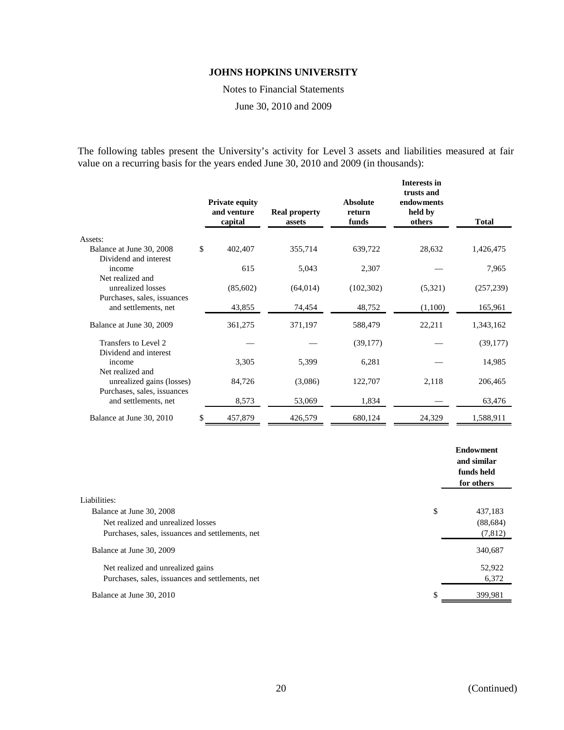Notes to Financial Statements

June 30, 2010 and 2009

The following tables present the University's activity for Level 3 assets and liabilities measured at fair value on a recurring basis for the years ended June 30, 2010 and 2009 (in thousands):

|                                                                              | <b>Private equity</b><br>and venture<br>capital | <b>Real property</b><br>assets | <b>Absolute</b><br>return<br>funds | Interests in<br>trusts and<br>endowments<br>held by<br>others | Total      |
|------------------------------------------------------------------------------|-------------------------------------------------|--------------------------------|------------------------------------|---------------------------------------------------------------|------------|
| Assets:                                                                      |                                                 |                                |                                    |                                                               |            |
| Balance at June 30, 2008                                                     | \$<br>402,407                                   | 355,714                        | 639,722                            | 28,632                                                        | 1,426,475  |
| Dividend and interest<br>income<br>Net realized and                          | 615                                             | 5,043                          | 2,307                              |                                                               | 7,965      |
| unrealized losses                                                            | (85,602)                                        | (64, 014)                      | (102, 302)                         | (5,321)                                                       | (257, 239) |
| Purchases, sales, issuances<br>and settlements, net                          | 43,855                                          | 74,454                         | 48,752                             | (1,100)                                                       | 165,961    |
| Balance at June 30, 2009                                                     | 361,275                                         | 371,197                        | 588,479                            | 22,211                                                        | 1,343,162  |
| Transfers to Level 2<br>Dividend and interest                                |                                                 |                                | (39, 177)                          |                                                               | (39, 177)  |
| income                                                                       | 3,305                                           | 5,399                          | 6,281                              |                                                               | 14,985     |
| Net realized and<br>unrealized gains (losses)<br>Purchases, sales, issuances | 84,726                                          | (3,086)                        | 122,707                            | 2,118                                                         | 206,465    |
| and settlements, net                                                         | 8,573                                           | 53,069                         | 1,834                              |                                                               | 63,476     |
| Balance at June 30, 2010                                                     | \$<br>457,879                                   | 426,579                        | 680,124                            | 24,329                                                        | 1,588,911  |

|                                                  | <b>Endowment</b><br>and similar<br>funds held<br>for others |
|--------------------------------------------------|-------------------------------------------------------------|
| Liabilities:                                     |                                                             |
| Balance at June 30, 2008                         | \$<br>437,183                                               |
| Net realized and unrealized losses               | (88, 684)                                                   |
| Purchases, sales, issuances and settlements, net | (7, 812)                                                    |
| Balance at June 30, 2009                         | 340,687                                                     |
| Net realized and unrealized gains                | 52,922                                                      |
| Purchases, sales, issuances and settlements, net | 6,372                                                       |
| Balance at June 30, 2010                         | 399,981                                                     |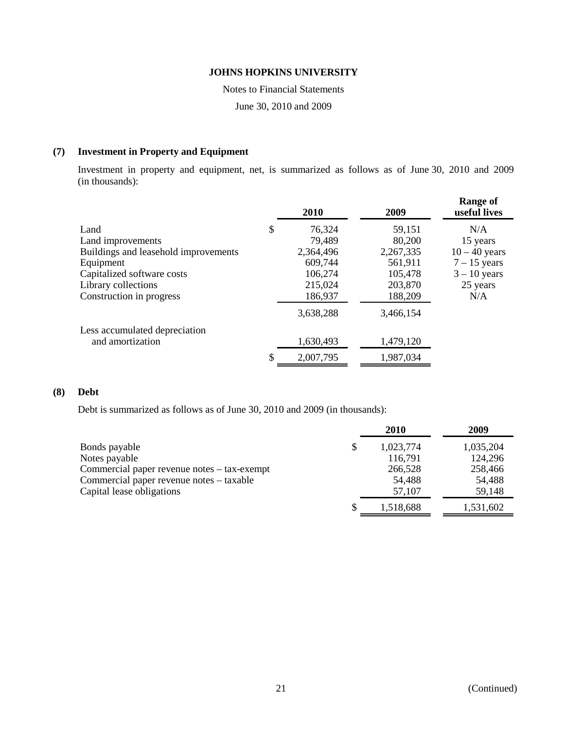Notes to Financial Statements

June 30, 2010 and 2009

### **(7) Investment in Property and Equipment**

Investment in property and equipment, net, is summarized as follows as of June 30, 2010 and 2009 (in thousands):

|                                      | 2010            | 2009      | <b>Range of</b><br>useful lives |
|--------------------------------------|-----------------|-----------|---------------------------------|
| Land                                 | \$<br>76,324    | 59,151    | N/A                             |
| Land improvements                    | 79,489          | 80,200    | 15 years                        |
| Buildings and leasehold improvements | 2,364,496       | 2,267,335 | $10 - 40$ years                 |
| Equipment                            | 609,744         | 561,911   | $7 - 15$ years                  |
| Capitalized software costs           | 106,274         | 105,478   | $3 - 10$ years                  |
| Library collections                  | 215,024         | 203,870   | 25 years                        |
| Construction in progress             | 186,937         | 188,209   | N/A                             |
|                                      | 3,638,288       | 3,466,154 |                                 |
| Less accumulated depreciation        |                 |           |                                 |
| and amortization                     | 1,630,493       | 1,479,120 |                                 |
|                                      | \$<br>2,007,795 | 1,987,034 |                                 |

### **(8) Debt**

Debt is summarized as follows as of June 30, 2010 and 2009 (in thousands):

|                                             | <b>2010</b>     | 2009      |
|---------------------------------------------|-----------------|-----------|
| Bonds payable                               | \$<br>1,023,774 | 1,035,204 |
| Notes payable                               | 116,791         | 124,296   |
| Commercial paper revenue notes – tax-exempt | 266,528         | 258,466   |
| Commercial paper revenue notes – taxable    | 54,488          | 54,488    |
| Capital lease obligations                   | 57.107          | 59,148    |
|                                             | 1,518,688       | 1,531,602 |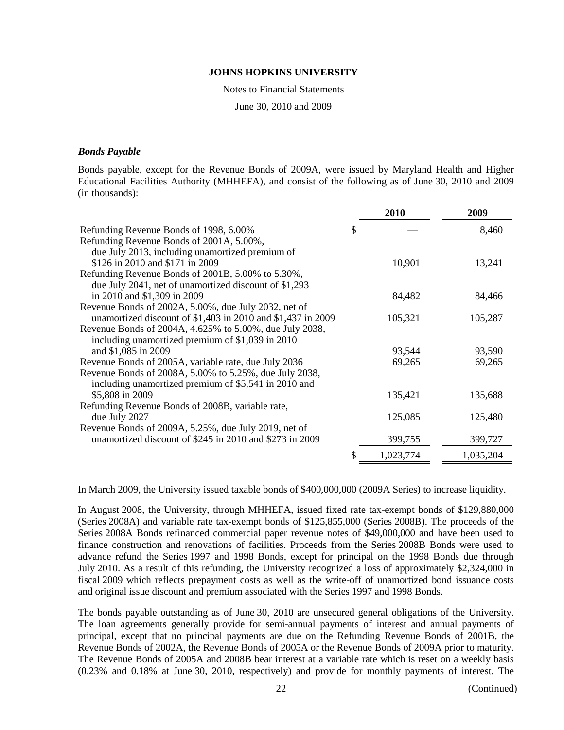Notes to Financial Statements

June 30, 2010 and 2009

### *Bonds Payable*

Bonds payable, except for the Revenue Bonds of 2009A, were issued by Maryland Health and Higher Educational Facilities Authority (MHHEFA), and consist of the following as of June 30, 2010 and 2009 (in thousands):

|                                                                   | 2010      | 2009      |
|-------------------------------------------------------------------|-----------|-----------|
| Refunding Revenue Bonds of 1998, 6.00%                            | \$        | 8,460     |
| Refunding Revenue Bonds of 2001A, 5.00%,                          |           |           |
| due July 2013, including unamortized premium of                   |           |           |
| \$126 in 2010 and \$171 in 2009                                   | 10,901    | 13,241    |
| Refunding Revenue Bonds of 2001B, 5.00% to 5.30%,                 |           |           |
| due July 2041, net of unamortized discount of \$1,293             |           |           |
| in 2010 and \$1,309 in 2009                                       | 84,482    | 84,466    |
| Revenue Bonds of 2002A, 5.00%, due July 2032, net of              |           |           |
| unamortized discount of \$1,403 in 2010 and \$1,437 in 2009       | 105,321   | 105,287   |
| Revenue Bonds of 2004A, 4.625% to 5.00%, due July 2038,           |           |           |
| including unamortized premium of \$1,039 in 2010                  |           |           |
| and \$1,085 in 2009                                               | 93,544    | 93,590    |
| Revenue Bonds of 2005A, variable rate, due July 2036              | 69,265    | 69,265    |
| Revenue Bonds of 2008A, 5.00% to 5.25%, due July 2038,            |           |           |
| including unamortized premium of \$5,541 in 2010 and              |           |           |
| \$5,808 in 2009                                                   | 135,421   | 135,688   |
| Refunding Revenue Bonds of 2008B, variable rate,<br>due July 2027 | 125,085   | 125,480   |
| Revenue Bonds of 2009A, 5.25%, due July 2019, net of              |           |           |
| unamortized discount of \$245 in 2010 and \$273 in 2009           | 399,755   | 399,727   |
|                                                                   |           |           |
|                                                                   | 1,023,774 | 1,035,204 |

In March 2009, the University issued taxable bonds of \$400,000,000 (2009A Series) to increase liquidity.

In August 2008, the University, through MHHEFA, issued fixed rate tax-exempt bonds of \$129,880,000 (Series 2008A) and variable rate tax-exempt bonds of \$125,855,000 (Series 2008B). The proceeds of the Series 2008A Bonds refinanced commercial paper revenue notes of \$49,000,000 and have been used to finance construction and renovations of facilities. Proceeds from the Series 2008B Bonds were used to advance refund the Series 1997 and 1998 Bonds, except for principal on the 1998 Bonds due through July 2010. As a result of this refunding, the University recognized a loss of approximately \$2,324,000 in fiscal 2009 which reflects prepayment costs as well as the write-off of unamortized bond issuance costs and original issue discount and premium associated with the Series 1997 and 1998 Bonds.

The bonds payable outstanding as of June 30, 2010 are unsecured general obligations of the University. The loan agreements generally provide for semi-annual payments of interest and annual payments of principal, except that no principal payments are due on the Refunding Revenue Bonds of 2001B, the Revenue Bonds of 2002A, the Revenue Bonds of 2005A or the Revenue Bonds of 2009A prior to maturity. The Revenue Bonds of 2005A and 2008B bear interest at a variable rate which is reset on a weekly basis (0.23% and 0.18% at June 30, 2010, respectively) and provide for monthly payments of interest. The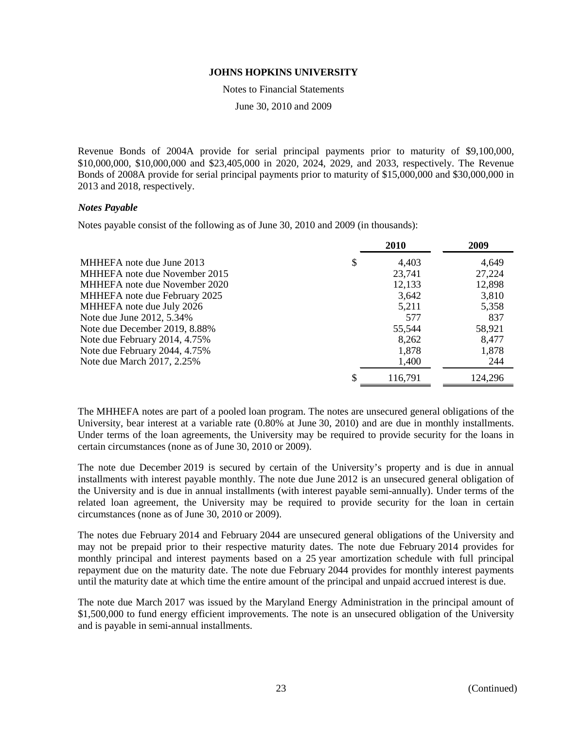Notes to Financial Statements

June 30, 2010 and 2009

Revenue Bonds of 2004A provide for serial principal payments prior to maturity of \$9,100,000, \$10,000,000, \$10,000,000 and \$23,405,000 in 2020, 2024, 2029, and 2033, respectively. The Revenue Bonds of 2008A provide for serial principal payments prior to maturity of \$15,000,000 and \$30,000,000 in 2013 and 2018, respectively.

### *Notes Payable*

Notes payable consist of the following as of June 30, 2010 and 2009 (in thousands):

|                                 | 2010    | 2009    |
|---------------------------------|---------|---------|
| MHHEFA note due June 2013<br>\$ | 4,403   | 4,649   |
| MHHEFA note due November 2015   | 23,741  | 27,224  |
| MHHEFA note due November 2020   | 12,133  | 12,898  |
| MHHEFA note due February 2025   | 3,642   | 3,810   |
| MHHEFA note due July 2026       | 5,211   | 5,358   |
| Note due June 2012, 5.34%       | 577     | 837     |
| Note due December 2019, 8.88%   | 55,544  | 58,921  |
| Note due February 2014, 4.75%   | 8,262   | 8,477   |
| Note due February 2044, 4.75%   | 1,878   | 1,878   |
| Note due March 2017, 2.25%      | 1,400   | 244     |
|                                 | 116,791 | 124,296 |

The MHHEFA notes are part of a pooled loan program. The notes are unsecured general obligations of the University, bear interest at a variable rate  $(0.80\%$  at June 30, 2010) and are due in monthly installments. Under terms of the loan agreements, the University may be required to provide security for the loans in certain circumstances (none as of June 30, 2010 or 2009).

The note due December 2019 is secured by certain of the University's property and is due in annual installments with interest payable monthly. The note due June 2012 is an unsecured general obligation of the University and is due in annual installments (with interest payable semi-annually). Under terms of the related loan agreement, the University may be required to provide security for the loan in certain circumstances (none as of June 30, 2010 or 2009).

The notes due February 2014 and February 2044 are unsecured general obligations of the University and may not be prepaid prior to their respective maturity dates. The note due February 2014 provides for monthly principal and interest payments based on a 25 year amortization schedule with full principal repayment due on the maturity date. The note due February 2044 provides for monthly interest payments until the maturity date at which time the entire amount of the principal and unpaid accrued interest is due.

The note due March 2017 was issued by the Maryland Energy Administration in the principal amount of \$1,500,000 to fund energy efficient improvements. The note is an unsecured obligation of the University and is payable in semi-annual installments.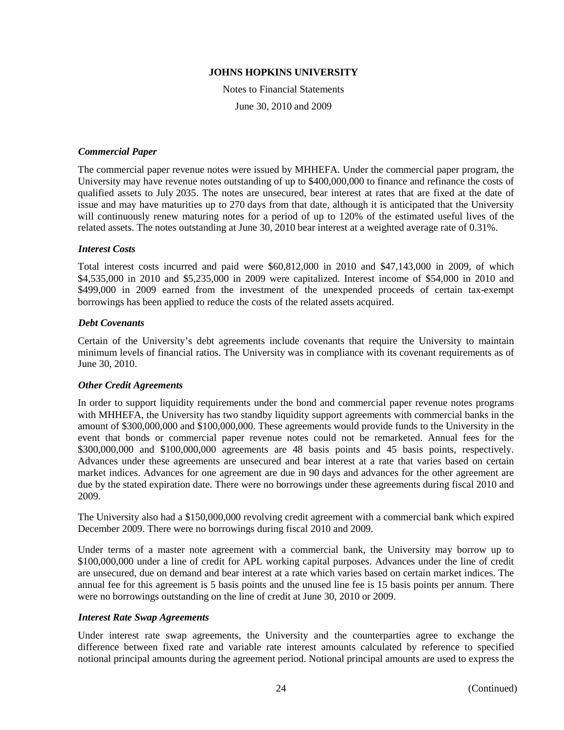Notes to Financial Statements June 30, 2010 and 2009

### *Commercial Paper*

The commercial paper revenue notes were issued by MHHEFA. Under the commercial paper program, the University may have revenue notes outstanding of up to \$400,000,000 to finance and refinance the costs of qualified assets to July 2035. The notes are unsecured, bear interest at rates that are fixed at the date of issue and may have maturities up to 270 days from that date, although it is anticipated that the University will continuously renew maturing notes for a period of up to 120% of the estimated useful lives of the related assets. The notes outstanding at June 30, 2010 bear interest at a weighted average rate of 0.31%.

#### *Interest Costs*

Total interest costs incurred and paid were \$60,812,000 in 2010 and \$47,143,000 in 2009, of which \$4,535,000 in 2010 and \$5,235,000 in 2009 were capitalized. Interest income of \$54,000 in 2010 and \$499,000 in 2009 earned from the investment of the unexpended proceeds of certain tax-exempt borrowings has been applied to reduce the costs of the related assets acquired.

#### *Debt Covenants*

Certain of the University's debt agreements include covenants that require the University to maintain minimum levels of financial ratios. The University was in compliance with its covenant requirements as of June 30, 2010.

### *Other Credit Agreements*

In order to support liquidity requirements under the bond and commercial paper revenue notes programs with MHHEFA, the University has two standby liquidity support agreements with commercial banks in the amount of \$300,000,000 and \$100,000,000. These agreements would provide funds to the University in the event that bonds or commercial paper revenue notes could not be remarketed. Annual fees for the \$300,000,000 and \$100,000,000 agreements are 48 basis points and 45 basis points, respectively. Advances under these agreements are unsecured and bear interest at a rate that varies based on certain market indices. Advances for one agreement are due in 90 days and advances for the other agreement are due by the stated expiration date. There were no borrowings under these agreements during fiscal 2010 and 2009.

The University also had a \$150,000,000 revolving credit agreement with a commercial bank which expired December 2009. There were no borrowings during fiscal 2010 and 2009.

Under terms of a master note agreement with a commercial bank, the University may borrow up to \$100,000,000 under a line of credit for APL working capital purposes. Advances under the line of credit are unsecured, due on demand and bear interest at a rate which varies based on certain market indices. The annual fee for this agreement is 5 basis points and the unused line fee is 15 basis points per annum. There were no borrowings outstanding on the line of credit at June 30, 2010 or 2009.

#### *Interest Rate Swap Agreements*

Under interest rate swap agreements, the University and the counterparties agree to exchange the difference between fixed rate and variable rate interest amounts calculated by reference to specified notional principal amounts during the agreement period. Notional principal amounts are used to express the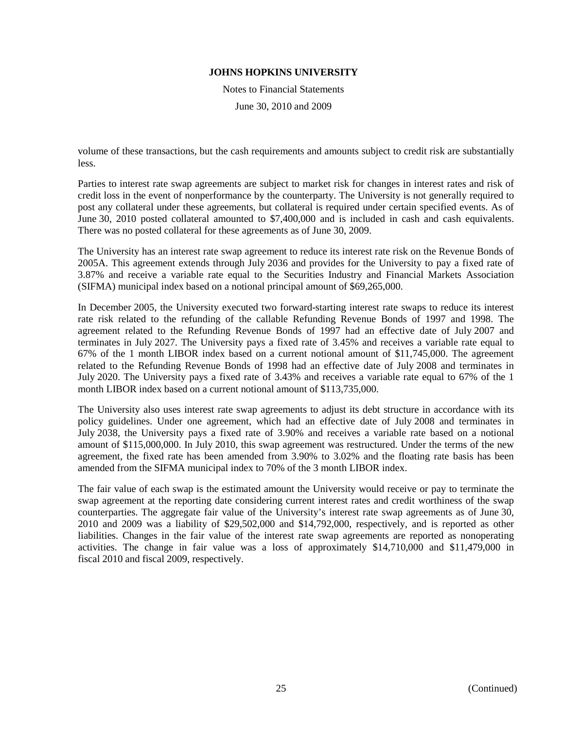Notes to Financial Statements

June 30, 2010 and 2009

volume of these transactions, but the cash requirements and amounts subject to credit risk are substantially less.

Parties to interest rate swap agreements are subject to market risk for changes in interest rates and risk of credit loss in the event of nonperformance by the counterparty. The University is not generally required to post any collateral under these agreements, but collateral is required under certain specified events. As of June 30, 2010 posted collateral amounted to \$7,400,000 and is included in cash and cash equivalents. There was no posted collateral for these agreements as of June 30, 2009.

The University has an interest rate swap agreement to reduce its interest rate risk on the Revenue Bonds of 2005A. This agreement extends through July 2036 and provides for the University to pay a fixed rate of 3.87% and receive a variable rate equal to the Securities Industry and Financial Markets Association (SIFMA) municipal index based on a notional principal amount of \$69,265,000.

In December 2005, the University executed two forward-starting interest rate swaps to reduce its interest rate risk related to the refunding of the callable Refunding Revenue Bonds of 1997 and 1998. The agreement related to the Refunding Revenue Bonds of 1997 had an effective date of July 2007 and terminates in July 2027. The University pays a fixed rate of 3.45% and receives a variable rate equal to 67% of the 1 month LIBOR index based on a current notional amount of \$11,745,000. The agreement related to the Refunding Revenue Bonds of 1998 had an effective date of July 2008 and terminates in July 2020. The University pays a fixed rate of 3.43% and receives a variable rate equal to 67% of the 1 month LIBOR index based on a current notional amount of \$113,735,000.

The University also uses interest rate swap agreements to adjust its debt structure in accordance with its policy guidelines. Under one agreement, which had an effective date of July 2008 and terminates in July 2038, the University pays a fixed rate of 3.90% and receives a variable rate based on a notional amount of \$115,000,000. In July 2010, this swap agreement was restructured. Under the terms of the new agreement, the fixed rate has been amended from 3.90% to 3.02% and the floating rate basis has been amended from the SIFMA municipal index to 70% of the 3 month LIBOR index.

The fair value of each swap is the estimated amount the University would receive or pay to terminate the swap agreement at the reporting date considering current interest rates and credit worthiness of the swap counterparties. The aggregate fair value of the University's interest rate swap agreements as of June 30, 2010 and 2009 was a liability of \$29,502,000 and \$14,792,000, respectively, and is reported as other liabilities. Changes in the fair value of the interest rate swap agreements are reported as nonoperating activities. The change in fair value was a loss of approximately \$14,710,000 and \$11,479,000 in fiscal 2010 and fiscal 2009, respectively.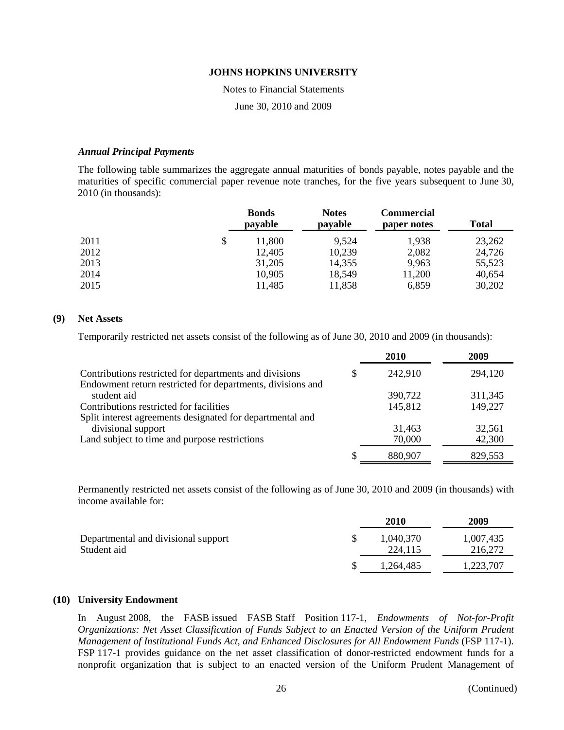#### Notes to Financial Statements

June 30, 2010 and 2009

### *Annual Principal Payments*

The following table summarizes the aggregate annual maturities of bonds payable, notes payable and the maturities of specific commercial paper revenue note tranches, for the five years subsequent to June 30, 2010 (in thousands):

|      |    | <b>Bonds</b><br>payable | <b>Notes</b><br>payable | <b>Commercial</b><br>paper notes | <b>Total</b> |
|------|----|-------------------------|-------------------------|----------------------------------|--------------|
| 2011 | \$ | 11,800                  | 9,524                   | 1,938                            | 23,262       |
| 2012 |    | 12,405                  | 10,239                  | 2,082                            | 24,726       |
| 2013 |    | 31,205                  | 14,355                  | 9,963                            | 55,523       |
| 2014 |    | 10,905                  | 18,549                  | 11,200                           | 40,654       |
| 2015 |    | 11,485                  | 11,858                  | 6,859                            | 30,202       |

### **(9) Net Assets**

Temporarily restricted net assets consist of the following as of June 30, 2010 and 2009 (in thousands):

|                                                            |   | 2010    | 2009    |
|------------------------------------------------------------|---|---------|---------|
| Contributions restricted for departments and divisions     | S | 242,910 | 294,120 |
| Endowment return restricted for departments, divisions and |   |         |         |
| student aid                                                |   | 390,722 | 311,345 |
| Contributions restricted for facilities                    |   | 145,812 | 149,227 |
| Split interest agreements designated for departmental and  |   |         |         |
| divisional support                                         |   | 31,463  | 32,561  |
| Land subject to time and purpose restrictions              |   | 70,000  | 42,300  |
|                                                            |   | 880,907 | 829,553 |

Permanently restricted net assets consist of the following as of June 30, 2010 and 2009 (in thousands) with income available for:

|                                                    | <b>2010</b>          | 2009                 |
|----------------------------------------------------|----------------------|----------------------|
| Departmental and divisional support<br>Student aid | 1,040,370<br>224,115 | 1,007,435<br>216,272 |
|                                                    | 1.264.485            | 1,223,707            |

### **(10) University Endowment**

In August 2008, the FASB issued FASB Staff Position 117-1, *Endowments of Not-for-Profit Organizations: Net Asset Classification of Funds Subject to an Enacted Version of the Uniform Prudent Management of Institutional Funds Act, and Enhanced Disclosures for All Endowment Funds* (FSP 117-1). FSP 117-1 provides guidance on the net asset classification of donor-restricted endowment funds for a nonprofit organization that is subject to an enacted version of the Uniform Prudent Management of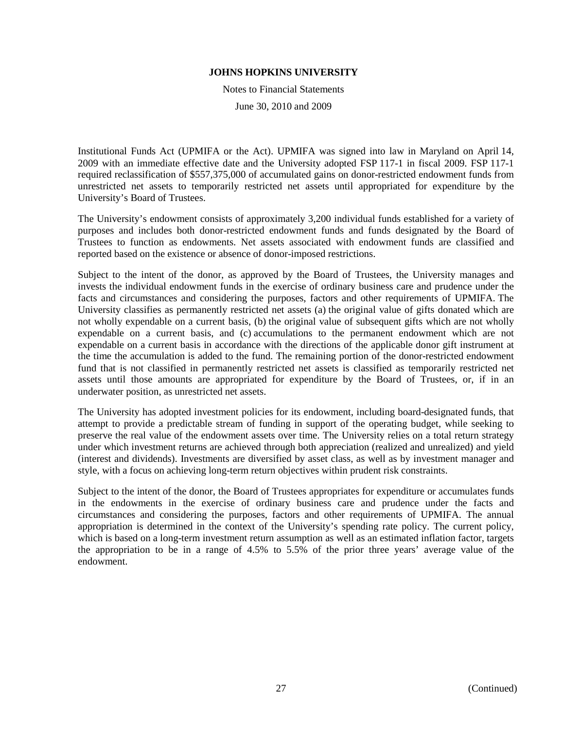Notes to Financial Statements

June 30, 2010 and 2009

Institutional Funds Act (UPMIFA or the Act). UPMIFA was signed into law in Maryland on April 14, 2009 with an immediate effective date and the University adopted FSP 117-1 in fiscal 2009. FSP 117-1 required reclassification of \$557,375,000 of accumulated gains on donor-restricted endowment funds from unrestricted net assets to temporarily restricted net assets until appropriated for expenditure by the University's Board of Trustees.

The University's endowment consists of approximately 3,200 individual funds established for a variety of purposes and includes both donor-restricted endowment funds and funds designated by the Board of Trustees to function as endowments. Net assets associated with endowment funds are classified and reported based on the existence or absence of donor-imposed restrictions.

Subject to the intent of the donor, as approved by the Board of Trustees, the University manages and invests the individual endowment funds in the exercise of ordinary business care and prudence under the facts and circumstances and considering the purposes, factors and other requirements of UPMIFA. The University classifies as permanently restricted net assets (a) the original value of gifts donated which are not wholly expendable on a current basis, (b) the original value of subsequent gifts which are not wholly expendable on a current basis, and (c) accumulations to the permanent endowment which are not expendable on a current basis in accordance with the directions of the applicable donor gift instrument at the time the accumulation is added to the fund. The remaining portion of the donor-restricted endowment fund that is not classified in permanently restricted net assets is classified as temporarily restricted net assets until those amounts are appropriated for expenditure by the Board of Trustees, or, if in an underwater position, as unrestricted net assets.

The University has adopted investment policies for its endowment, including board-designated funds, that attempt to provide a predictable stream of funding in support of the operating budget, while seeking to preserve the real value of the endowment assets over time. The University relies on a total return strategy under which investment returns are achieved through both appreciation (realized and unrealized) and yield (interest and dividends). Investments are diversified by asset class, as well as by investment manager and style, with a focus on achieving long-term return objectives within prudent risk constraints.

Subject to the intent of the donor, the Board of Trustees appropriates for expenditure or accumulates funds in the endowments in the exercise of ordinary business care and prudence under the facts and circumstances and considering the purposes, factors and other requirements of UPMIFA. The annual appropriation is determined in the context of the University's spending rate policy. The current policy, which is based on a long-term investment return assumption as well as an estimated inflation factor, targets the appropriation to be in a range of 4.5% to 5.5% of the prior three years' average value of the endowment.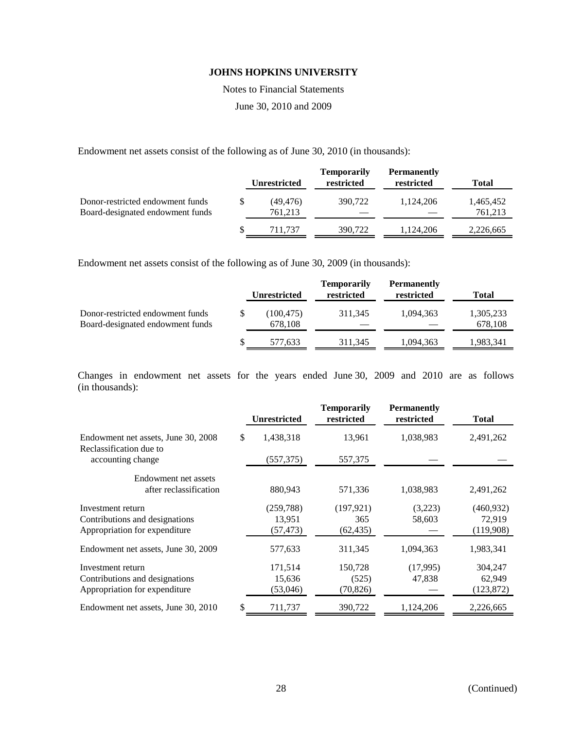Notes to Financial Statements

June 30, 2010 and 2009

Endowment net assets consist of the following as of June 30, 2010 (in thousands):

|                                                                      | <b>Unrestricted</b>        | <b>Temporarily</b><br>restricted | <b>Permanently</b><br>restricted | <b>Total</b>         |
|----------------------------------------------------------------------|----------------------------|----------------------------------|----------------------------------|----------------------|
| Donor-restricted endowment funds<br>Board-designated endowment funds | \$<br>(49, 476)<br>761,213 | 390,722                          | 1.124.206                        | 1,465,452<br>761,213 |
|                                                                      | 711.737                    | 390,722                          | 1,124,206                        | 2,226,665            |

Endowment net assets consist of the following as of June 30, 2009 (in thousands):

|                                                                      |   | <b>Unrestricted</b>   | <b>Temporarily</b><br>restricted | <b>Permanently</b><br>restricted | Total                |
|----------------------------------------------------------------------|---|-----------------------|----------------------------------|----------------------------------|----------------------|
| Donor-restricted endowment funds<br>Board-designated endowment funds |   | (100, 475)<br>678,108 | 311.345                          | 1.094.363                        | 1,305,233<br>678,108 |
|                                                                      | S | 577,633               | 311.345                          | 1,094,363                        | 1,983,341            |

Changes in endowment net assets for the years ended June 30, 2009 and 2010 are as follows (in thousands):

|                                                                                      | <b>Unrestricted</b>               | <b>Temporarily</b><br>restricted | <b>Permanently</b><br>restricted | <b>Total</b>                      |
|--------------------------------------------------------------------------------------|-----------------------------------|----------------------------------|----------------------------------|-----------------------------------|
| Endowment net assets, June 30, 2008<br>Reclassification due to                       | \$<br>1,438,318                   | 13,961                           | 1,038,983                        | 2,491,262                         |
| accounting change                                                                    | (557, 375)                        | 557,375                          |                                  |                                   |
| Endowment net assets<br>after reclassification                                       | 880,943                           | 571,336                          | 1,038,983                        | 2,491,262                         |
| Investment return<br>Contributions and designations<br>Appropriation for expenditure | (259, 788)<br>13,951<br>(57, 473) | (197, 921)<br>365<br>(62, 435)   | (3,223)<br>58,603                | (460, 932)<br>72,919<br>(119,908) |
| Endowment net assets, June 30, 2009                                                  | 577,633                           | 311,345                          | 1,094,363                        | 1,983,341                         |
| Investment return<br>Contributions and designations<br>Appropriation for expenditure | 171,514<br>15,636<br>(53,046)     | 150,728<br>(525)<br>(70,826)     | (17,995)<br>47,838               | 304,247<br>62,949<br>(123, 872)   |
| Endowment net assets, June 30, 2010                                                  | \$<br>711,737                     | 390,722                          | 1,124,206                        | 2,226,665                         |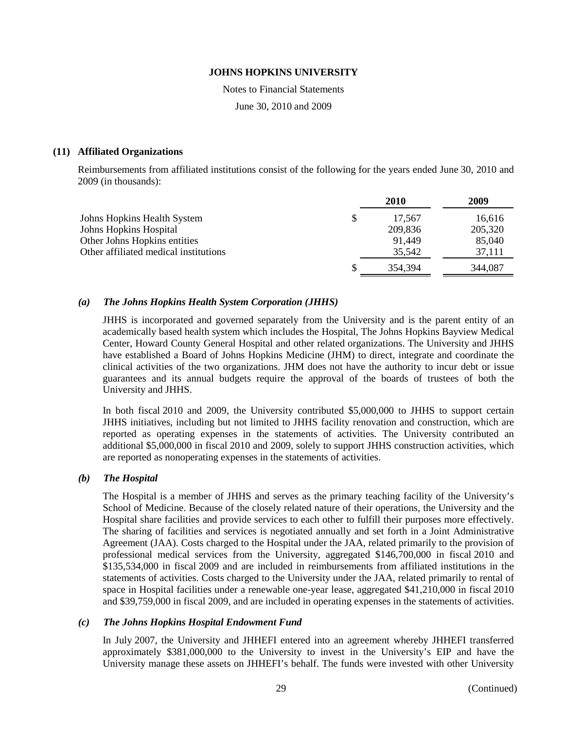Notes to Financial Statements

June 30, 2010 and 2009

### **(11) Affiliated Organizations**

Reimbursements from affiliated institutions consist of the following for the years ended June 30, 2010 and 2009 (in thousands):

|                                       | 2010         | 2009    |
|---------------------------------------|--------------|---------|
| Johns Hopkins Health System           | \$<br>17.567 | 16,616  |
| Johns Hopkins Hospital                | 209,836      | 205,320 |
| Other Johns Hopkins entities          | 91,449       | 85,040  |
| Other affiliated medical institutions | 35,542       | 37,111  |
|                                       | 354,394      | 344,087 |

### *(a) The Johns Hopkins Health System Corporation (JHHS)*

JHHS is incorporated and governed separately from the University and is the parent entity of an academically based health system which includes the Hospital, The Johns Hopkins Bayview Medical Center, Howard County General Hospital and other related organizations. The University and JHHS have established a Board of Johns Hopkins Medicine (JHM) to direct, integrate and coordinate the clinical activities of the two organizations. JHM does not have the authority to incur debt or issue guarantees and its annual budgets require the approval of the boards of trustees of both the University and JHHS.

In both fiscal 2010 and 2009, the University contributed \$5,000,000 to JHHS to support certain JHHS initiatives, including but not limited to JHHS facility renovation and construction, which are reported as operating expenses in the statements of activities. The University contributed an additional \$5,000,000 in fiscal 2010 and 2009, solely to support JHHS construction activities, which are reported as nonoperating expenses in the statements of activities.

### *(b) The Hospital*

The Hospital is a member of JHHS and serves as the primary teaching facility of the University's School of Medicine. Because of the closely related nature of their operations, the University and the Hospital share facilities and provide services to each other to fulfill their purposes more effectively. The sharing of facilities and services is negotiated annually and set forth in a Joint Administrative Agreement (JAA). Costs charged to the Hospital under the JAA, related primarily to the provision of professional medical services from the University, aggregated \$146,700,000 in fiscal 2010 and \$135,534,000 in fiscal 2009 and are included in reimbursements from affiliated institutions in the statements of activities. Costs charged to the University under the JAA, related primarily to rental of space in Hospital facilities under a renewable one-year lease, aggregated \$41,210,000 in fiscal 2010 and \$39,759,000 in fiscal 2009, and are included in operating expenses in the statements of activities.

### *(c) The Johns Hopkins Hospital Endowment Fund*

In July 2007, the University and JHHEFI entered into an agreement whereby JHHEFI transferred approximately \$381,000,000 to the University to invest in the University's EIP and have the University manage these assets on JHHEFI's behalf. The funds were invested with other University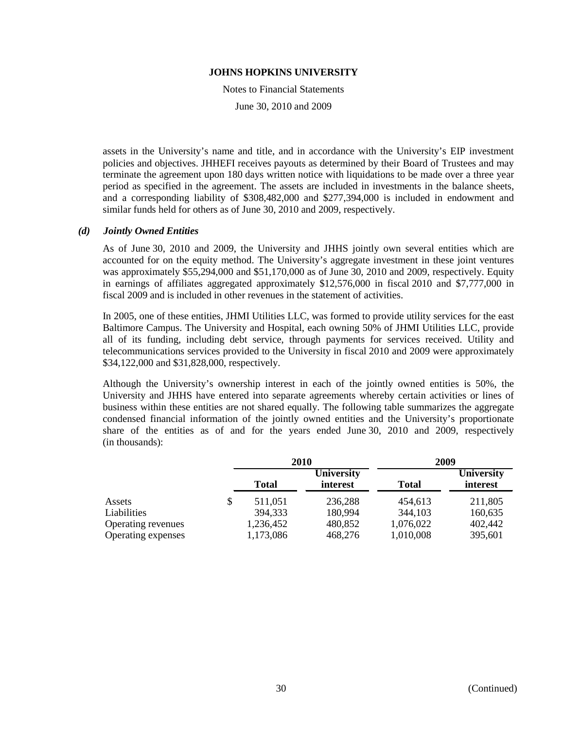Notes to Financial Statements

June 30, 2010 and 2009

assets in the University's name and title, and in accordance with the University's EIP investment policies and objectives. JHHEFI receives payouts as determined by their Board of Trustees and may terminate the agreement upon 180 days written notice with liquidations to be made over a three year period as specified in the agreement. The assets are included in investments in the balance sheets, and a corresponding liability of \$308,482,000 and \$277,394,000 is included in endowment and similar funds held for others as of June 30, 2010 and 2009, respectively.

### *(d) Jointly Owned Entities*

As of June 30, 2010 and 2009, the University and JHHS jointly own several entities which are accounted for on the equity method. The University's aggregate investment in these joint ventures was approximately \$55,294,000 and \$51,170,000 as of June 30, 2010 and 2009, respectively. Equity in earnings of affiliates aggregated approximately \$12,576,000 in fiscal 2010 and \$7,777,000 in fiscal 2009 and is included in other revenues in the statement of activities.

In 2005, one of these entities, JHMI Utilities LLC, was formed to provide utility services for the east Baltimore Campus. The University and Hospital, each owning 50% of JHMI Utilities LLC, provide all of its funding, including debt service, through payments for services received. Utility and telecommunications services provided to the University in fiscal 2010 and 2009 were approximately \$34,122,000 and \$31,828,000, respectively.

Although the University's ownership interest in each of the jointly owned entities is 50%, the University and JHHS have entered into separate agreements whereby certain activities or lines of business within these entities are not shared equally. The following table summarizes the aggregate condensed financial information of the jointly owned entities and the University's proportionate share of the entities as of and for the years ended June 30, 2010 and 2009, respectively (in thousands):

|                    |    |              | 2010                          | 2009         |                               |  |
|--------------------|----|--------------|-------------------------------|--------------|-------------------------------|--|
|                    |    | <b>Total</b> | <b>University</b><br>interest | <b>Total</b> | <b>University</b><br>interest |  |
| Assets             | \$ | 511,051      | 236,288                       | 454,613      | 211,805                       |  |
| Liabilities        |    | 394,333      | 180,994                       | 344,103      | 160,635                       |  |
| Operating revenues |    | 1,236,452    | 480,852                       | 1,076,022    | 402,442                       |  |
| Operating expenses |    | 1,173,086    | 468,276                       | 1,010,008    | 395,601                       |  |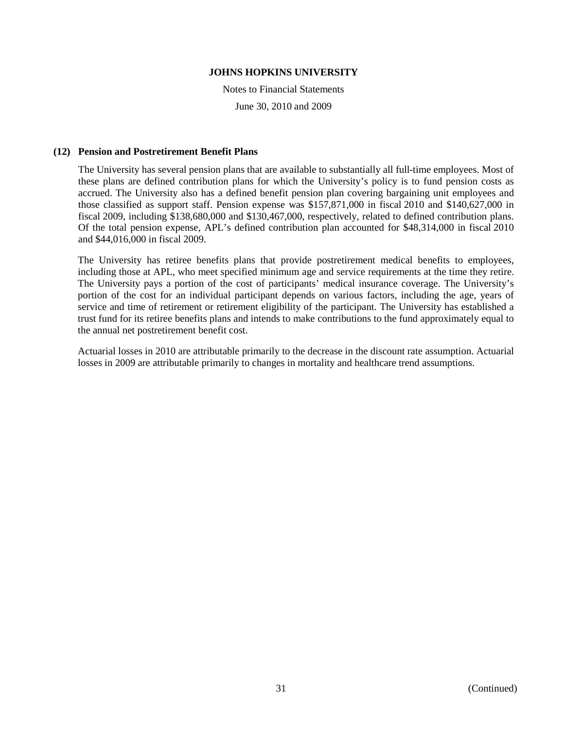Notes to Financial Statements June 30, 2010 and 2009

### **(12) Pension and Postretirement Benefit Plans**

The University has several pension plans that are available to substantially all full-time employees. Most of these plans are defined contribution plans for which the University's policy is to fund pension costs as accrued. The University also has a defined benefit pension plan covering bargaining unit employees and those classified as support staff. Pension expense was \$157,871,000 in fiscal 2010 and \$140,627,000 in fiscal 2009, including \$138,680,000 and \$130,467,000, respectively, related to defined contribution plans. Of the total pension expense, APL's defined contribution plan accounted for \$48,314,000 in fiscal 2010 and \$44,016,000 in fiscal 2009.

The University has retiree benefits plans that provide postretirement medical benefits to employees, including those at APL, who meet specified minimum age and service requirements at the time they retire. The University pays a portion of the cost of participants' medical insurance coverage. The University's portion of the cost for an individual participant depends on various factors, including the age, years of service and time of retirement or retirement eligibility of the participant. The University has established a trust fund for its retiree benefits plans and intends to make contributions to the fund approximately equal to the annual net postretirement benefit cost.

Actuarial losses in 2010 are attributable primarily to the decrease in the discount rate assumption. Actuarial losses in 2009 are attributable primarily to changes in mortality and healthcare trend assumptions.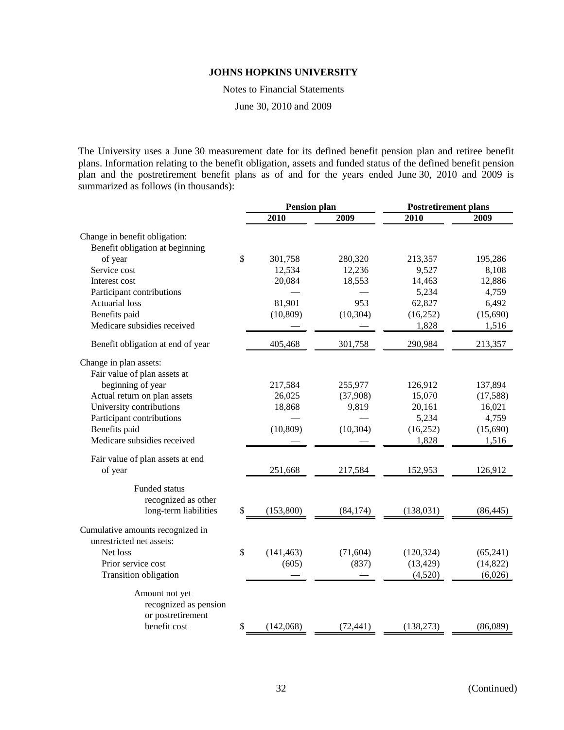Notes to Financial Statements

June 30, 2010 and 2009

The University uses a June 30 measurement date for its defined benefit pension plan and retiree benefit plans. Information relating to the benefit obligation, assets and funded status of the defined benefit pension plan and the postretirement benefit plans as of and for the years ended June 30, 2010 and 2009 is summarized as follows (in thousands):

|                                   | <b>Pension plan</b> |            |           | <b>Postretirement plans</b> |           |
|-----------------------------------|---------------------|------------|-----------|-----------------------------|-----------|
|                                   |                     | 2010       | 2009      | 2010                        | 2009      |
| Change in benefit obligation:     |                     |            |           |                             |           |
| Benefit obligation at beginning   |                     |            |           |                             |           |
| of year                           | \$                  | 301,758    | 280,320   | 213,357                     | 195,286   |
| Service cost                      |                     | 12,534     | 12,236    | 9,527                       | 8,108     |
| Interest cost                     |                     | 20,084     | 18,553    | 14,463                      | 12,886    |
| Participant contributions         |                     |            |           | 5,234                       | 4,759     |
| <b>Actuarial loss</b>             |                     | 81,901     | 953       | 62,827                      | 6,492     |
| Benefits paid                     |                     | (10, 809)  | (10, 304) | (16,252)                    | (15,690)  |
| Medicare subsidies received       |                     |            |           | 1,828                       | 1,516     |
| Benefit obligation at end of year |                     | 405,468    | 301,758   | 290,984                     | 213,357   |
| Change in plan assets:            |                     |            |           |                             |           |
| Fair value of plan assets at      |                     |            |           |                             |           |
| beginning of year                 |                     | 217,584    | 255,977   | 126,912                     | 137,894   |
| Actual return on plan assets      |                     | 26,025     | (37,908)  | 15,070                      | (17,588)  |
| University contributions          |                     | 18,868     | 9,819     | 20,161                      | 16,021    |
| Participant contributions         |                     |            |           | 5,234                       | 4,759     |
| Benefits paid                     |                     | (10, 809)  | (10, 304) | (16, 252)                   | (15,690)  |
| Medicare subsidies received       |                     |            |           | 1,828                       | 1,516     |
| Fair value of plan assets at end  |                     |            |           |                             |           |
| of year                           |                     | 251,668    | 217,584   | 152,953                     | 126,912   |
| Funded status                     |                     |            |           |                             |           |
| recognized as other               |                     |            |           |                             |           |
| long-term liabilities             | \$                  | (153,800)  | (84, 174) | (138, 031)                  | (86, 445) |
| Cumulative amounts recognized in  |                     |            |           |                             |           |
| unrestricted net assets:          |                     |            |           |                             |           |
| Net loss                          | \$                  | (141, 463) | (71, 604) | (120, 324)                  | (65,241)  |
| Prior service cost                |                     | (605)      | (837)     | (13, 429)                   | (14, 822) |
| Transition obligation             |                     |            |           | (4,520)                     | (6,026)   |
| Amount not yet                    |                     |            |           |                             |           |
| recognized as pension             |                     |            |           |                             |           |
| or postretirement                 |                     |            |           |                             |           |
| benefit cost                      | \$                  | (142,068)  | (72, 441) | (138, 273)                  | (86,089)  |
|                                   |                     |            |           |                             |           |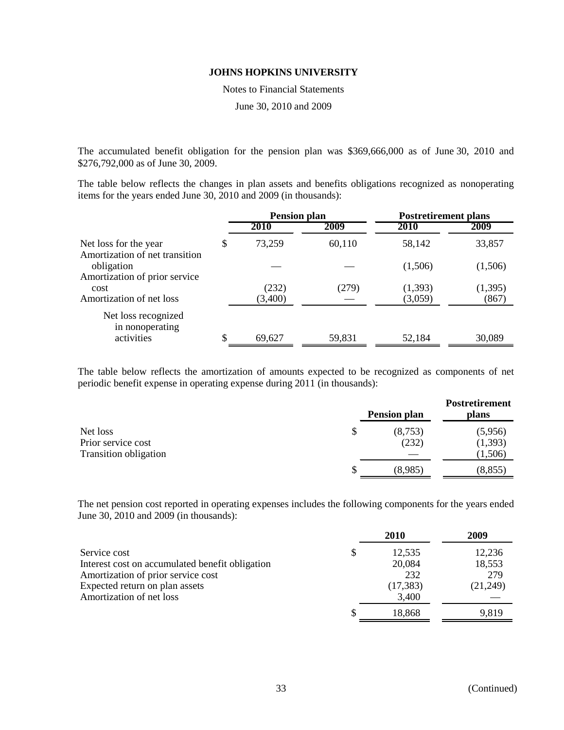Notes to Financial Statements

June 30, 2010 and 2009

The accumulated benefit obligation for the pension plan was \$369,666,000 as of June 30, 2010 and \$276,792,000 as of June 30, 2009.

The table below reflects the changes in plan assets and benefits obligations recognized as nonoperating items for the years ended June 30, 2010 and 2009 (in thousands):

|                                                         | <b>Pension plan</b> |        | <b>Postretirement plans</b> |          |
|---------------------------------------------------------|---------------------|--------|-----------------------------|----------|
|                                                         | 2010                | 2009   | 2010                        | 2009     |
| Net loss for the year<br>Amortization of net transition | \$<br>73,259        | 60,110 | 58,142                      | 33,857   |
| obligation<br>Amortization of prior service             |                     |        | (1,506)                     | (1,506)  |
| cost                                                    | (232)               | (279)  | (1,393)                     | (1, 395) |
| Amortization of net loss                                | (3,400)             |        | (3,059)                     | (867)    |
| Net loss recognized<br>in nonoperating                  |                     |        |                             |          |
| activities                                              | \$<br>69,627        | 59,831 | 52,184                      | 30,089   |

The table below reflects the amortization of amounts expected to be recognized as components of net periodic benefit expense in operating expense during 2011 (in thousands):

|                                                    |    | <b>Pension plan</b> | <b>Postretirement</b><br>plans |
|----------------------------------------------------|----|---------------------|--------------------------------|
| Net loss                                           | \$ | (8,753)             | (5,956)                        |
| Prior service cost<br><b>Transition obligation</b> |    | (232)               | (1, 393)<br>(1,506)            |
|                                                    | S  | (8,985)             | (8, 855)                       |

The net pension cost reported in operating expenses includes the following components for the years ended June 30, 2010 and 2009 (in thousands):

|                                                 | 2010      | 2009     |
|-------------------------------------------------|-----------|----------|
| Service cost                                    | 12,535    | 12,236   |
| Interest cost on accumulated benefit obligation | 20,084    | 18,553   |
| Amortization of prior service cost              | 232       | 279      |
| Expected return on plan assets                  | (17, 383) | (21,249) |
| Amortization of net loss                        | 3,400     |          |
|                                                 | 18,868    | 9,819    |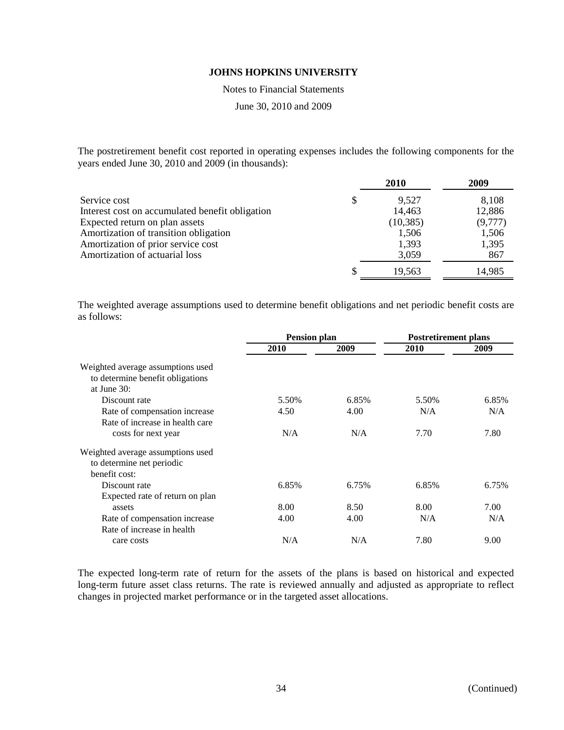Notes to Financial Statements

June 30, 2010 and 2009

The postretirement benefit cost reported in operating expenses includes the following components for the years ended June 30, 2010 and 2009 (in thousands):

|                                                 |   | <b>2010</b> | 2009    |
|-------------------------------------------------|---|-------------|---------|
| Service cost                                    | S | 9,527       | 8,108   |
| Interest cost on accumulated benefit obligation |   | 14,463      | 12,886  |
| Expected return on plan assets                  |   | (10, 385)   | (9,777) |
| Amortization of transition obligation           |   | 1,506       | 1,506   |
| Amortization of prior service cost              |   | 1,393       | 1,395   |
| Amortization of actuarial loss                  |   | 3,059       | 867     |
|                                                 |   | 19,563      | 14,985  |

The weighted average assumptions used to determine benefit obligations and net periodic benefit costs are as follows:

|                                                                                        | <b>Pension plan</b> |       | <b>Postretirement plans</b> |       |
|----------------------------------------------------------------------------------------|---------------------|-------|-----------------------------|-------|
|                                                                                        | 2010                | 2009  | 2010                        | 2009  |
| Weighted average assumptions used<br>to determine benefit obligations<br>at June $30:$ |                     |       |                             |       |
| Discount rate                                                                          | 5.50%               | 6.85% | 5.50%                       | 6.85% |
| Rate of compensation increase                                                          | 4.50                | 4.00  | N/A                         | N/A   |
| Rate of increase in health care                                                        |                     |       |                             |       |
| costs for next year                                                                    | N/A                 | N/A   | 7.70                        | 7.80  |
| Weighted average assumptions used<br>to determine net periodic<br>benefit cost:        |                     |       |                             |       |
| Discount rate                                                                          | 6.85%               | 6.75% | 6.85%                       | 6.75% |
| Expected rate of return on plan                                                        |                     |       |                             |       |
| assets                                                                                 | 8.00                | 8.50  | 8.00                        | 7.00  |
| Rate of compensation increase                                                          | 4.00                | 4.00  | N/A                         | N/A   |
| Rate of increase in health                                                             |                     |       |                             |       |
| care costs                                                                             | N/A                 | N/A   | 7.80                        | 9.00  |

The expected long-term rate of return for the assets of the plans is based on historical and expected long-term future asset class returns. The rate is reviewed annually and adjusted as appropriate to reflect changes in projected market performance or in the targeted asset allocations.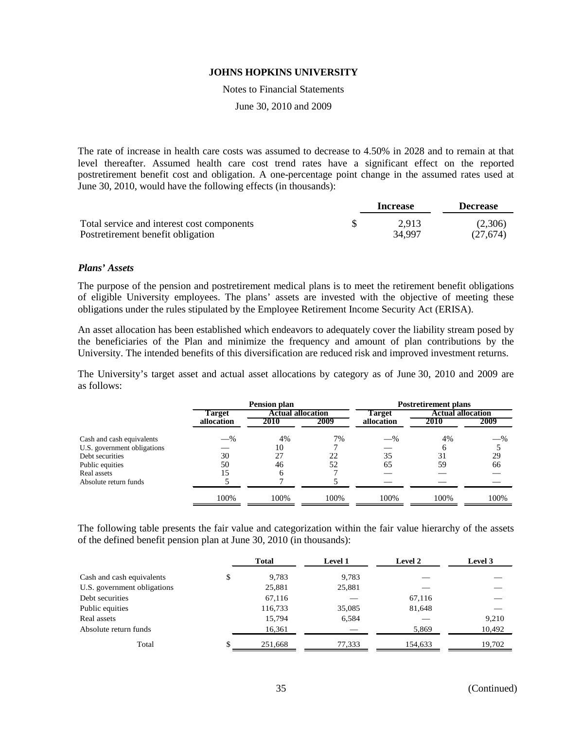Notes to Financial Statements

June 30, 2010 and 2009

The rate of increase in health care costs was assumed to decrease to 4.50% in 2028 and to remain at that level thereafter. Assumed health care cost trend rates have a significant effect on the reported postretirement benefit cost and obligation. A one-percentage point change in the assumed rates used at June 30, 2010, would have the following effects (in thousands):

|                                            | Increase | <b>Decrease</b> |
|--------------------------------------------|----------|-----------------|
| Total service and interest cost components | 2.913    | (2,306)         |
| Postretirement benefit obligation          | 34,997   | (27,674)        |

#### *Plans' Assets*

The purpose of the pension and postretirement medical plans is to meet the retirement benefit obligations of eligible University employees. The plans' assets are invested with the objective of meeting these obligations under the rules stipulated by the Employee Retirement Income Security Act (ERISA).

An asset allocation has been established which endeavors to adequately cover the liability stream posed by the beneficiaries of the Plan and minimize the frequency and amount of plan contributions by the University. The intended benefits of this diversification are reduced risk and improved investment returns.

The University's target asset and actual asset allocations by category as of June 30, 2010 and 2009 are as follows:

|                             |            | Pension plan             |      |            | <b>Postretirement plans</b> |       |
|-----------------------------|------------|--------------------------|------|------------|-----------------------------|-------|
|                             | Target     | <b>Actual allocation</b> |      | Target     | <b>Actual allocation</b>    |       |
|                             | allocation | 2010                     | 2009 | allocation | 2010                        | 2009  |
| Cash and cash equivalents   | $-$ %      | 4%                       | 7%   | $-$ %      | 4%                          | $-$ % |
| U.S. government obligations |            | 10                       |      |            |                             |       |
| Debt securities             | 30         | 27                       | 22   | 35         | 31                          | 29    |
| Public equities             | 50         | 46                       | 52   | 65         | 59                          | 66    |
| Real assets                 |            |                          |      |            |                             |       |
| Absolute return funds       |            |                          |      |            |                             |       |
|                             | 100%       | 100%                     | 100% | 100%       | 100%                        | 100%  |

The following table presents the fair value and categorization within the fair value hierarchy of the assets of the defined benefit pension plan at June 30, 2010 (in thousands):

|                             | <b>Total</b> | Level 1 | Level 2 | Level 3 |
|-----------------------------|--------------|---------|---------|---------|
| Cash and cash equivalents   | \$<br>9,783  | 9,783   |         |         |
| U.S. government obligations | 25,881       | 25,881  |         |         |
| Debt securities             | 67,116       |         | 67,116  |         |
| Public equities             | 116,733      | 35,085  | 81,648  |         |
| Real assets                 | 15,794       | 6,584   |         | 9,210   |
| Absolute return funds       | 16,361       |         | 5,869   | 10,492  |
| Total                       | 251,668      | 77,333  | 154,633 | 19,702  |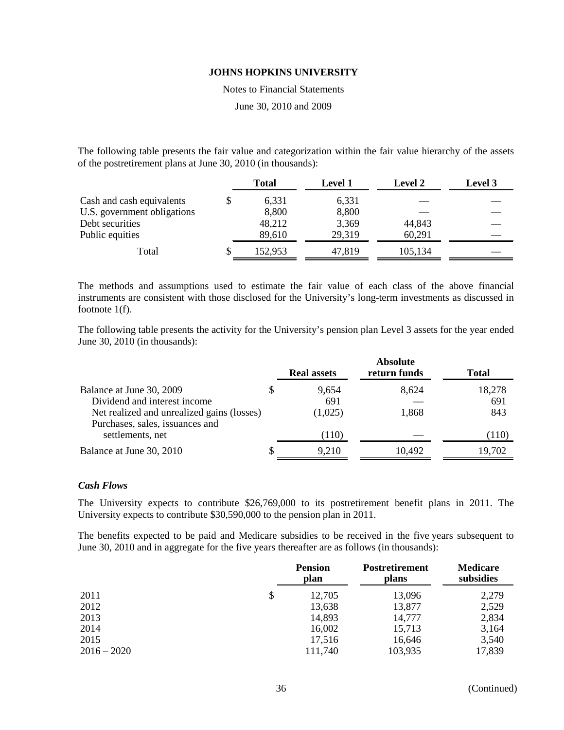Notes to Financial Statements

June 30, 2010 and 2009

The following table presents the fair value and categorization within the fair value hierarchy of the assets of the postretirement plans at June 30, 2010 (in thousands):

|                             | Total   | <b>Level 1</b> | Level 2 | Level 3 |
|-----------------------------|---------|----------------|---------|---------|
| Cash and cash equivalents   | 6,331   | 6,331          |         |         |
| U.S. government obligations | 8,800   | 8,800          |         |         |
| Debt securities             | 48,212  | 3,369          | 44,843  |         |
| Public equities             | 89,610  | 29,319         | 60,291  |         |
| Total                       | 152,953 | 47,819         | 105,134 |         |

The methods and assumptions used to estimate the fair value of each class of the above financial instruments are consistent with those disclosed for the University's long-term investments as discussed in footnote 1(f).

The following table presents the activity for the University's pension plan Level 3 assets for the year ended June 30, 2010 (in thousands):

|                                                                               | <b>Real assets</b> | <b>Absolute</b><br>return funds | <b>Total</b> |
|-------------------------------------------------------------------------------|--------------------|---------------------------------|--------------|
| Balance at June 30, 2009                                                      | 9.654              | 8.624                           | 18,278       |
| Dividend and interest income                                                  | 691                |                                 | 691          |
| Net realized and unrealized gains (losses)<br>Purchases, sales, issuances and | (1,025)            | 1,868                           | 843          |
| settlements, net                                                              | (110)              |                                 | (110)        |
| Balance at June 30, 2010                                                      | 9,210              | 10,492                          | 19,702       |

### *Cash Flows*

The University expects to contribute \$26,769,000 to its postretirement benefit plans in 2011. The University expects to contribute \$30,590,000 to the pension plan in 2011.

The benefits expected to be paid and Medicare subsidies to be received in the five years subsequent to June 30, 2010 and in aggregate for the five years thereafter are as follows (in thousands):

|               | <b>Pension</b><br>plan |         | <b>Postretirement</b><br>plans | <b>Medicare</b><br>subsidies |  |
|---------------|------------------------|---------|--------------------------------|------------------------------|--|
| 2011          | \$                     | 12,705  | 13,096                         | 2,279                        |  |
| 2012          |                        | 13,638  | 13,877                         | 2,529                        |  |
| 2013          |                        | 14,893  | 14,777                         | 2,834                        |  |
| 2014          |                        | 16,002  | 15,713                         | 3,164                        |  |
| 2015          |                        | 17,516  | 16,646                         | 3,540                        |  |
| $2016 - 2020$ |                        | 111,740 | 103,935                        | 17,839                       |  |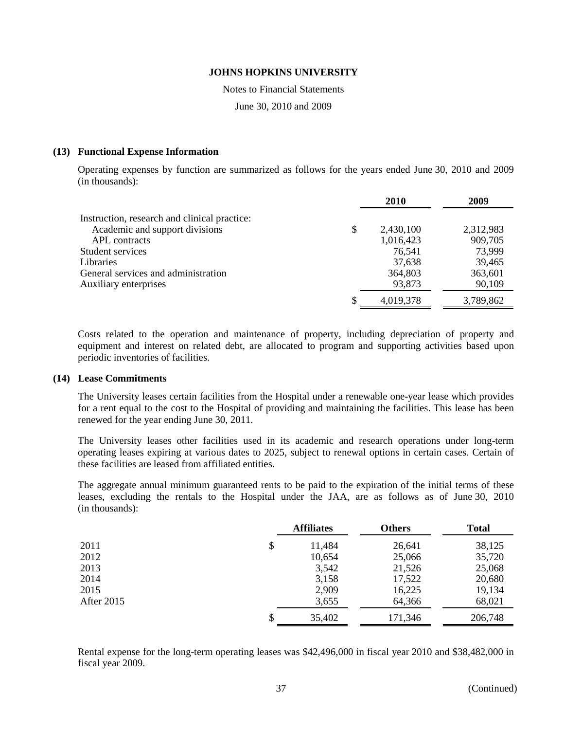Notes to Financial Statements

June 30, 2010 and 2009

### **(13) Functional Expense Information**

Operating expenses by function are summarized as follows for the years ended June 30, 2010 and 2009 (in thousands):

|                                              | 2010            | 2009      |
|----------------------------------------------|-----------------|-----------|
| Instruction, research and clinical practice: |                 |           |
| Academic and support divisions               | \$<br>2,430,100 | 2,312,983 |
| APL contracts                                | 1,016,423       | 909,705   |
| Student services                             | 76,541          | 73,999    |
| <b>Libraries</b>                             | 37,638          | 39,465    |
| General services and administration          | 364,803         | 363,601   |
| Auxiliary enterprises                        | 93,873          | 90,109    |
|                                              | 4,019,378       | 3,789,862 |

Costs related to the operation and maintenance of property, including depreciation of property and equipment and interest on related debt, are allocated to program and supporting activities based upon periodic inventories of facilities.

### **(14) Lease Commitments**

The University leases certain facilities from the Hospital under a renewable one-year lease which provides for a rent equal to the cost to the Hospital of providing and maintaining the facilities. This lease has been renewed for the year ending June 30, 2011.

The University leases other facilities used in its academic and research operations under long-term operating leases expiring at various dates to 2025, subject to renewal options in certain cases. Certain of these facilities are leased from affiliated entities.

The aggregate annual minimum guaranteed rents to be paid to the expiration of the initial terms of these leases, excluding the rentals to the Hospital under the JAA, are as follows as of June 30, 2010 (in thousands):

|                   | <b>Affiliates</b> | <b>Others</b> | <b>Total</b> |  |
|-------------------|-------------------|---------------|--------------|--|
| 2011              | \$<br>11,484      | 26,641        | 38,125       |  |
| 2012              | 10,654            | 25,066        | 35,720       |  |
| 2013              | 3,542             | 21,526        | 25,068       |  |
| 2014              | 3,158             | 17,522        | 20,680       |  |
| 2015              | 2,909             | 16,225        | 19,134       |  |
| <b>After 2015</b> | 3,655             | 64,366        | 68,021       |  |
|                   | \$<br>35,402      | 171,346       | 206,748      |  |

Rental expense for the long-term operating leases was \$42,496,000 in fiscal year 2010 and \$38,482,000 in fiscal year 2009.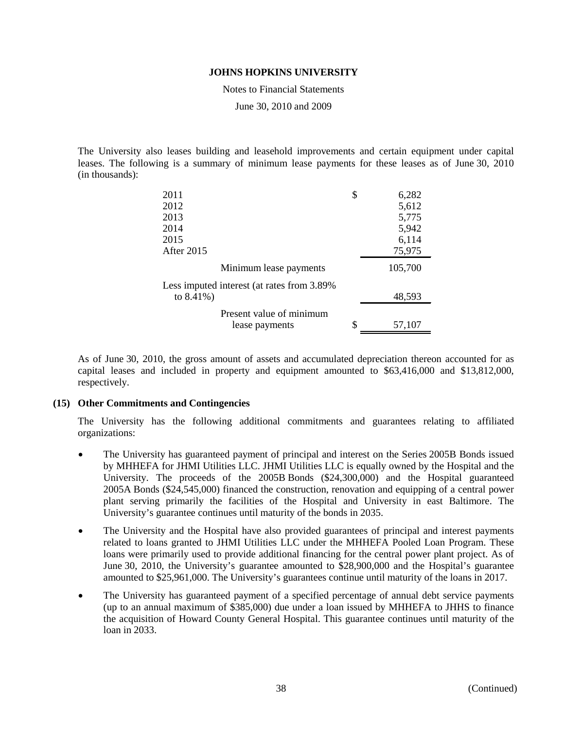Notes to Financial Statements

June 30, 2010 and 2009

The University also leases building and leasehold improvements and certain equipment under capital leases. The following is a summary of minimum lease payments for these leases as of June 30, 2010 (in thousands):

| 2011                                        | \$ | 6,282   |  |
|---------------------------------------------|----|---------|--|
| 2012                                        |    | 5,612   |  |
| 2013                                        |    | 5,775   |  |
| 2014                                        |    | 5,942   |  |
| 2015                                        |    | 6,114   |  |
| After 2015                                  |    | 75,975  |  |
| Minimum lease payments                      |    | 105,700 |  |
| Less imputed interest (at rates from 3.89%) |    |         |  |
| to $8.41\%$ )                               |    | 48,593  |  |
| Present value of minimum                    |    |         |  |
| lease payments                              | \$ | 57,107  |  |

As of June 30, 2010, the gross amount of assets and accumulated depreciation thereon accounted for as capital leases and included in property and equipment amounted to \$63,416,000 and \$13,812,000, respectively.

### **(15) Other Commitments and Contingencies**

The University has the following additional commitments and guarantees relating to affiliated organizations:

- The University has guaranteed payment of principal and interest on the Series 2005B Bonds issued by MHHEFA for JHMI Utilities LLC. JHMI Utilities LLC is equally owned by the Hospital and the University. The proceeds of the 2005B Bonds (\$24,300,000) and the Hospital guaranteed 2005A Bonds (\$24,545,000) financed the construction, renovation and equipping of a central power plant serving primarily the facilities of the Hospital and University in east Baltimore. The University's guarantee continues until maturity of the bonds in 2035.
- The University and the Hospital have also provided guarantees of principal and interest payments related to loans granted to JHMI Utilities LLC under the MHHEFA Pooled Loan Program. These loans were primarily used to provide additional financing for the central power plant project. As of June 30, 2010, the University's guarantee amounted to \$28,900,000 and the Hospital's guarantee amounted to \$25,961,000. The University's guarantees continue until maturity of the loans in 2017.
- The University has guaranteed payment of a specified percentage of annual debt service payments (up to an annual maximum of \$385,000) due under a loan issued by MHHEFA to JHHS to finance the acquisition of Howard County General Hospital. This guarantee continues until maturity of the loan in 2033.